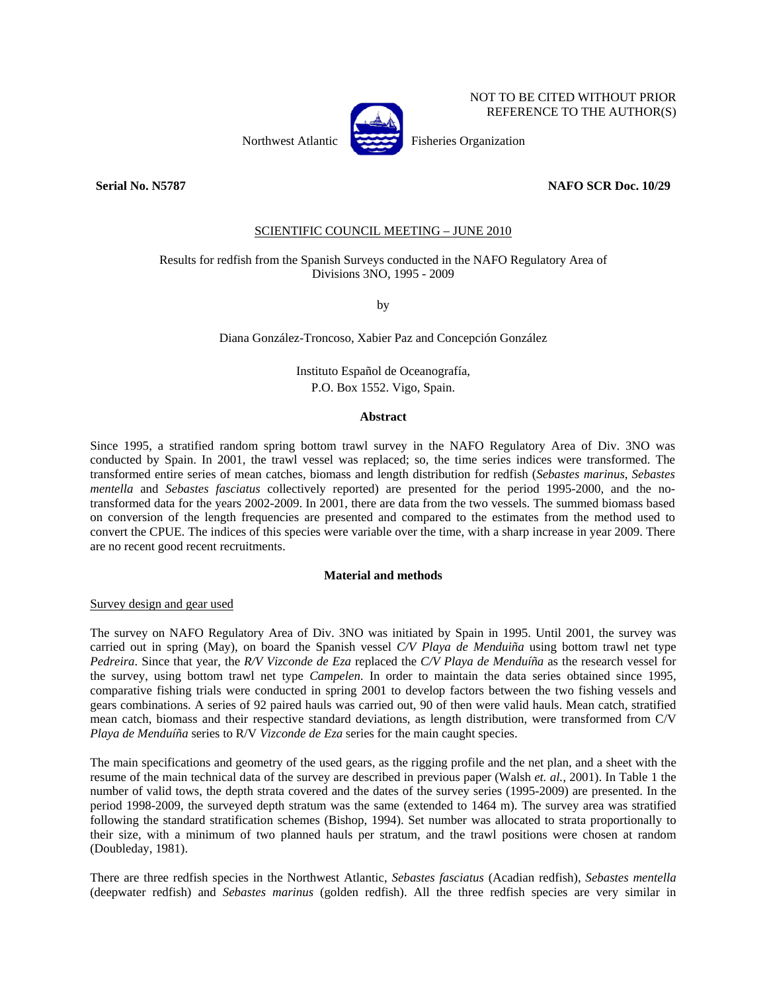

 NOT TO BE CITED WITHOUT PRIOR REFERENCE TO THE AUTHOR(S)

Northwest Atlantic Fisheries Organization

**Serial No. N5787** NAFO SCR Doc. 10/29

# SCIENTIFIC COUNCIL MEETING – JUNE 2010

# Results for redfish from the Spanish Surveys conducted in the NAFO Regulatory Area of Divisions 3NO, 1995 - 2009

by

Diana González-Troncoso, Xabier Paz and Concepción González

Instituto Español de Oceanografía, P.O. Box 1552. Vigo, Spain.

### **Abstract**

Since 1995, a stratified random spring bottom trawl survey in the NAFO Regulatory Area of Div. 3NO was conducted by Spain. In 2001, the trawl vessel was replaced; so, the time series indices were transformed. The transformed entire series of mean catches, biomass and length distribution for redfish (*Sebastes marinus*, *Sebastes mentella* and *Sebastes fasciatus* collectively reported) are presented for the period 1995-2000, and the notransformed data for the years 2002-2009. In 2001, there are data from the two vessels. The summed biomass based on conversion of the length frequencies are presented and compared to the estimates from the method used to convert the CPUE. The indices of this species were variable over the time, with a sharp increase in year 2009. There are no recent good recent recruitments.

#### **Material and methods**

Survey design and gear used

The survey on NAFO Regulatory Area of Div. 3NO was initiated by Spain in 1995. Until 2001, the survey was carried out in spring (May), on board the Spanish vessel *C/V Playa de Menduiña* using bottom trawl net type *Pedreira*. Since that year, the *R/V Vizconde de Eza* replaced the *C/V Playa de Menduíña* as the research vessel for the survey, using bottom trawl net type *Campelen*. In order to maintain the data series obtained since 1995, comparative fishing trials were conducted in spring 2001 to develop factors between the two fishing vessels and gears combinations. A series of 92 paired hauls was carried out, 90 of then were valid hauls. Mean catch, stratified mean catch, biomass and their respective standard deviations, as length distribution, were transformed from C/V *Playa de Menduíña* series to R/V *Vizconde de Eza* series for the main caught species.

The main specifications and geometry of the used gears, as the rigging profile and the net plan, and a sheet with the resume of the main technical data of the survey are described in previous paper (Walsh *et. al.*, 2001). In Table 1 the number of valid tows, the depth strata covered and the dates of the survey series (1995-2009) are presented. In the period 1998-2009, the surveyed depth stratum was the same (extended to 1464 m). The survey area was stratified following the standard stratification schemes (Bishop, 1994). Set number was allocated to strata proportionally to their size, with a minimum of two planned hauls per stratum, and the trawl positions were chosen at random (Doubleday, 1981).

There are three redfish species in the Northwest Atlantic, *Sebastes fasciatus* (Acadian redfish), *Sebastes mentella* (deepwater redfish) and *Sebastes marinus* (golden redfish). All the three redfish species are very similar in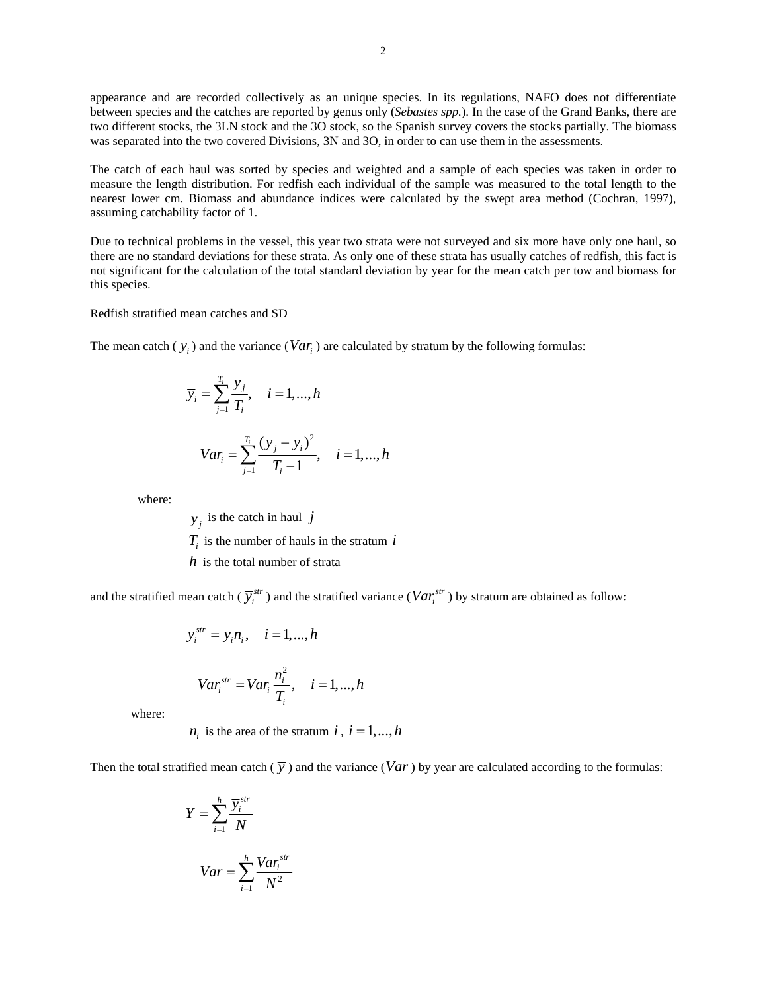appearance and are recorded collectively as an unique species. In its regulations, NAFO does not differentiate between species and the catches are reported by genus only (*Sebastes spp.*). In the case of the Grand Banks, there are two different stocks, the 3LN stock and the 3O stock, so the Spanish survey covers the stocks partially. The biomass was separated into the two covered Divisions, 3N and 3O, in order to can use them in the assessments.

The catch of each haul was sorted by species and weighted and a sample of each species was taken in order to measure the length distribution. For redfish each individual of the sample was measured to the total length to the nearest lower cm. Biomass and abundance indices were calculated by the swept area method (Cochran, 1997), assuming catchability factor of 1.

Due to technical problems in the vessel, this year two strata were not surveyed and six more have only one haul, so there are no standard deviations for these strata. As only one of these strata has usually catches of redfish, this fact is not significant for the calculation of the total standard deviation by year for the mean catch per tow and biomass for this species.

### Redfish stratified mean catches and SD

The mean catch  $(\bar{y}_i)$  and the variance (*Var<sub>i</sub>*) are calculated by stratum by the following formulas:

$$
\overline{y}_i = \sum_{j=1}^{T_i} \frac{y_j}{T_i}, \quad i = 1, ..., h
$$

$$
Var_i = \sum_{j=1}^{T_i} \frac{(y_j - \overline{y}_i)^2}{T_i - 1}, \quad i = 1, ..., h
$$

where:

 $y_i$  is the catch in haul *j*  $T_i$  is the number of hauls in the stratum  $i$ *h* is the total number of strata

and the stratified mean catch ( $\overline{y}_i^{str}$ ) and the stratified variance ( $Var_i^{str}$ ) by stratum are obtained as follow:

$$
\overline{y}_{i}^{str} = \overline{y}_{i} n_{i}, \quad i = 1, ..., h
$$

$$
Var_{i}^{str} = Var_{i} \frac{n_{i}^{2}}{T_{i}}, \quad i = 1, ..., h
$$

where:

 $n_i$  is the area of the stratum *i*,  $i = 1, ..., h$ 

Then the total stratified mean catch  $(\bar{v})$  and the variance (*Var*) by year are calculated according to the formulas:

$$
\overline{Y} = \sum_{i=1}^{h} \frac{\overline{y}_i^{str}}{N}
$$

$$
Var = \sum_{i=1}^{h} \frac{Var_i^{str}}{N^2}
$$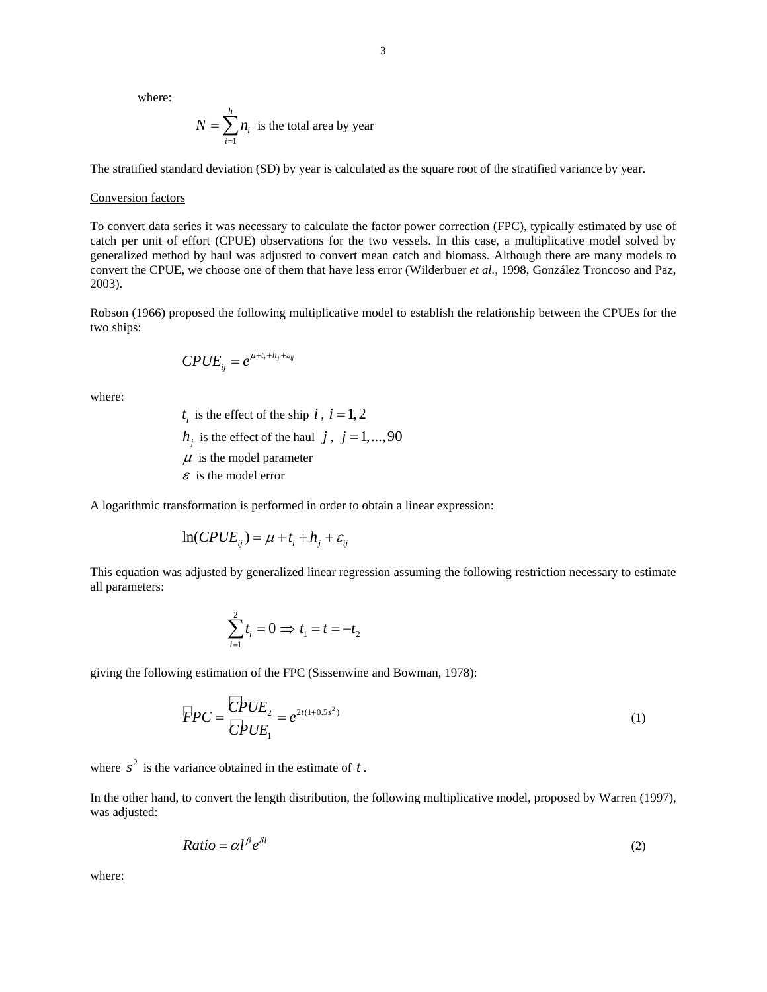where:

$$
N = \sum_{i=1}^{n} n_i
$$
 is the total area by year

The stratified standard deviation (SD) by year is calculated as the square root of the stratified variance by year.

#### Conversion factors

To convert data series it was necessary to calculate the factor power correction (FPC), typically estimated by use of catch per unit of effort (CPUE) observations for the two vessels. In this case, a multiplicative model solved by generalized method by haul was adjusted to convert mean catch and biomass. Although there are many models to convert the CPUE, we choose one of them that have less error (Wilderbuer *et al.*, 1998, González Troncoso and Paz, 2003).

Robson (1966) proposed the following multiplicative model to establish the relationship between the CPUEs for the two ships:

$$
\pmb{CPUE}_{ij} = e^{\mu+t_i+h_j+\varepsilon_{ij}}
$$

*h*

where:

 $t_i$  is the effect of the ship  $i, i = 1, 2$  $h_i$  is the effect of the haul *j*, *j* = 1,...,90  $\mu$  is the model parameter  $\epsilon$  is the model error

A logarithmic transformation is performed in order to obtain a linear expression:

$$
\ln(CPUE_{ij}) = \mu + t_i + h_j + \varepsilon_{ij}
$$

This equation was adjusted by generalized linear regression assuming the following restriction necessary to estimate all parameters:

$$
\sum_{i=1}^{2} t_i = 0 \Rightarrow t_1 = t = -t_2
$$

giving the following estimation of the FPC (Sissenwine and Bowman, 1978):

$$
\overline{FPC} = \frac{\overline{CPUE}_2}{\overline{CPUE}_1} = e^{2t(1+0.5s^2)}
$$
\n(1)

where  $s^2$  is the variance obtained in the estimate of  $t$ .

In the other hand, to convert the length distribution, the following multiplicative model, proposed by Warren (1997), was adjusted:

$$
Ratio = \alpha l^{\beta} e^{\delta l} \tag{2}
$$

where: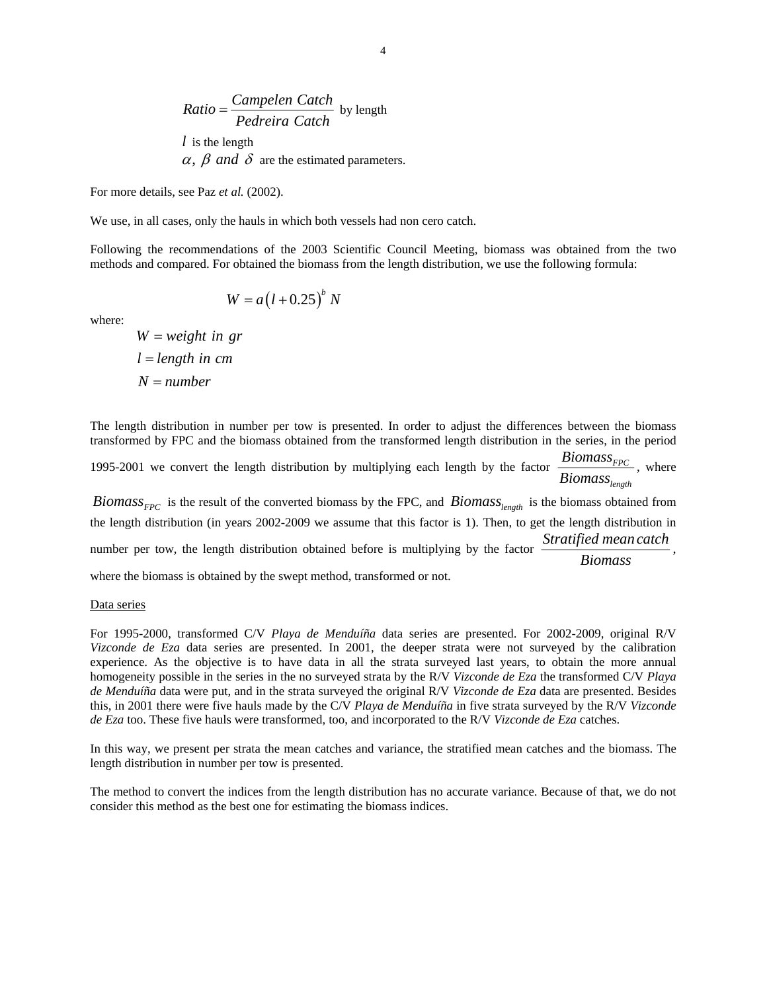Ratio = 
$$
\frac{\text{Campelen Catch}}{\text{Pederira Catch}}
$$
 by length

\nl is the length

\n $\alpha$ ,  $\beta$  and  $\delta$  are the estimated parameters.

For more details, see Paz *et al.* (2002).

We use, in all cases, only the hauls in which both vessels had non cero catch.

Following the recommendations of the 2003 Scientific Council Meeting, biomass was obtained from the two methods and compared. For obtained the biomass from the length distribution, we use the following formula:

$$
W = a(l+0.25)^{b} N
$$

where:

 $W = weight$  *in gr*  $l = length$  *in cm*  $N = number$ 

The length distribution in number per tow is presented. In order to adjust the differences between the biomass transformed by FPC and the biomass obtained from the transformed length distribution in the series, in the period

1995-2001 we convert the length distribution by multiplying each length by the factor  $\frac{D_1 \cdot D_2}{P_1 \cdot P_2}$ *length Biomass*  $\frac{1}{\text{Biomass}_{\text{length}}}$ , where

*Biomass*  $_{FPC}$  is the result of the converted biomass by the FPC, and *Biomass*  $_{length}$  is the biomass obtained from the length distribution (in years 2002-2009 we assume that this factor is 1). Then, to get the length distribution in number per tow, the length distribution obtained before is multiplying by the factor *Stratified mean catch Biomass* , where the biomass is obtained by the swept method, transformed or not.

### Data series

For 1995-2000, transformed C/V *Playa de Menduíña* data series are presented. For 2002-2009, original R/V *Vizconde de Eza* data series are presented. In 2001, the deeper strata were not surveyed by the calibration experience. As the objective is to have data in all the strata surveyed last years, to obtain the more annual homogeneity possible in the series in the no surveyed strata by the R/V *Vizconde de Eza* the transformed C/V *Playa de Menduíña* data were put, and in the strata surveyed the original R/V *Vizconde de Eza* data are presented. Besides this, in 2001 there were five hauls made by the C/V *Playa de Menduíña* in five strata surveyed by the R/V *Vizconde de Eza* too. These five hauls were transformed, too, and incorporated to the R/V *Vizconde de Eza* catches.

In this way, we present per strata the mean catches and variance, the stratified mean catches and the biomass. The length distribution in number per tow is presented.

The method to convert the indices from the length distribution has no accurate variance. Because of that, we do not consider this method as the best one for estimating the biomass indices.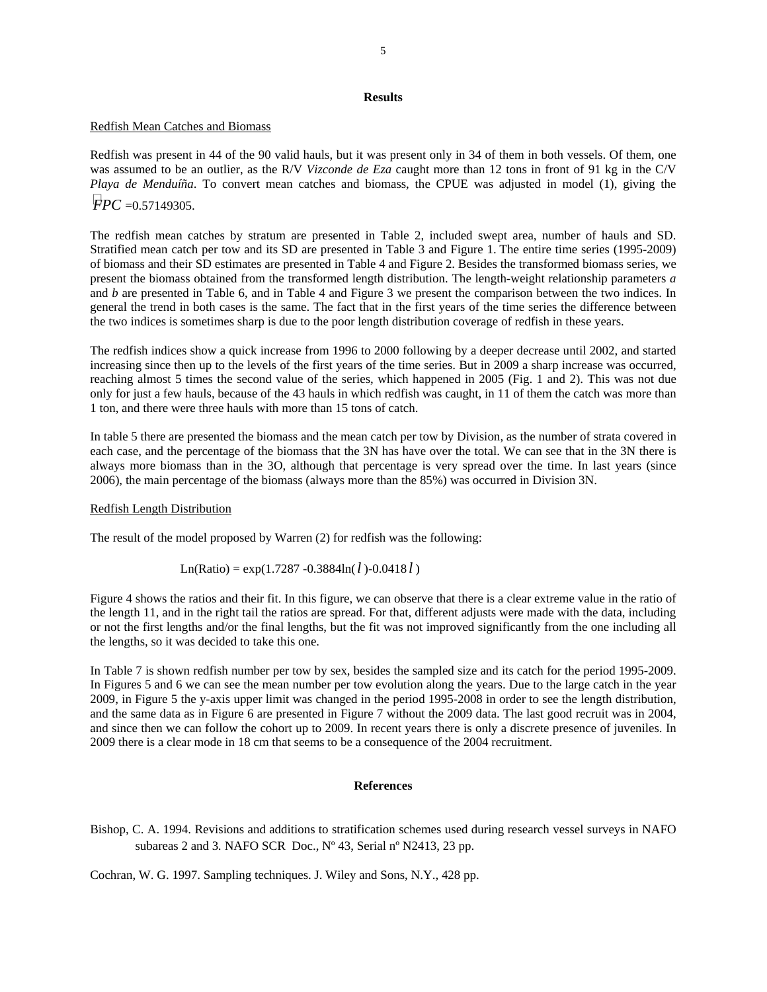### **Results**

### Redfish Mean Catches and Biomass

Redfish was present in 44 of the 90 valid hauls, but it was present only in 34 of them in both vessels. Of them, one was assumed to be an outlier, as the R/V *Vizconde de Eza* caught more than 12 tons in front of 91 kg in the C/V *Playa de Menduíña*. To convert mean catches and biomass, the CPUE was adjusted in model (1), giving the *FPC* =0.57149305.

The redfish mean catches by stratum are presented in Table 2, included swept area, number of hauls and SD. Stratified mean catch per tow and its SD are presented in Table 3 and Figure 1. The entire time series (1995-2009) of biomass and their SD estimates are presented in Table 4 and Figure 2. Besides the transformed biomass series, we present the biomass obtained from the transformed length distribution. The length-weight relationship parameters *a* and *b* are presented in Table 6, and in Table 4 and Figure 3 we present the comparison between the two indices. In general the trend in both cases is the same. The fact that in the first years of the time series the difference between the two indices is sometimes sharp is due to the poor length distribution coverage of redfish in these years.

The redfish indices show a quick increase from 1996 to 2000 following by a deeper decrease until 2002, and started increasing since then up to the levels of the first years of the time series. But in 2009 a sharp increase was occurred, reaching almost 5 times the second value of the series, which happened in 2005 (Fig. 1 and 2). This was not due only for just a few hauls, because of the 43 hauls in which redfish was caught, in 11 of them the catch was more than 1 ton, and there were three hauls with more than 15 tons of catch.

In table 5 there are presented the biomass and the mean catch per tow by Division, as the number of strata covered in each case, and the percentage of the biomass that the 3N has have over the total. We can see that in the 3N there is always more biomass than in the 3O, although that percentage is very spread over the time. In last years (since 2006), the main percentage of the biomass (always more than the 85%) was occurred in Division 3N.

## Redfish Length Distribution

The result of the model proposed by Warren (2) for redfish was the following:

Ln(Ratio) = 
$$
\exp(1.7287 - 0.3884 \ln(l) - 0.0418 l)
$$

Figure 4 shows the ratios and their fit. In this figure, we can observe that there is a clear extreme value in the ratio of the length 11, and in the right tail the ratios are spread. For that, different adjusts were made with the data, including or not the first lengths and/or the final lengths, but the fit was not improved significantly from the one including all the lengths, so it was decided to take this one.

In Table 7 is shown redfish number per tow by sex, besides the sampled size and its catch for the period 1995-2009. In Figures 5 and 6 we can see the mean number per tow evolution along the years. Due to the large catch in the year 2009, in Figure 5 the y-axis upper limit was changed in the period 1995-2008 in order to see the length distribution, and the same data as in Figure 6 are presented in Figure 7 without the 2009 data. The last good recruit was in 2004, and since then we can follow the cohort up to 2009. In recent years there is only a discrete presence of juveniles. In 2009 there is a clear mode in 18 cm that seems to be a consequence of the 2004 recruitment.

# **References**

Bishop, C. A. 1994. Revisions and additions to stratification schemes used during research vessel surveys in NAFO subareas 2 and 3*.* NAFO SCR Doc., Nº 43, Serial nº N2413, 23 pp.

Cochran, W. G. 1997. Sampling techniques. J. Wiley and Sons, N.Y., 428 pp.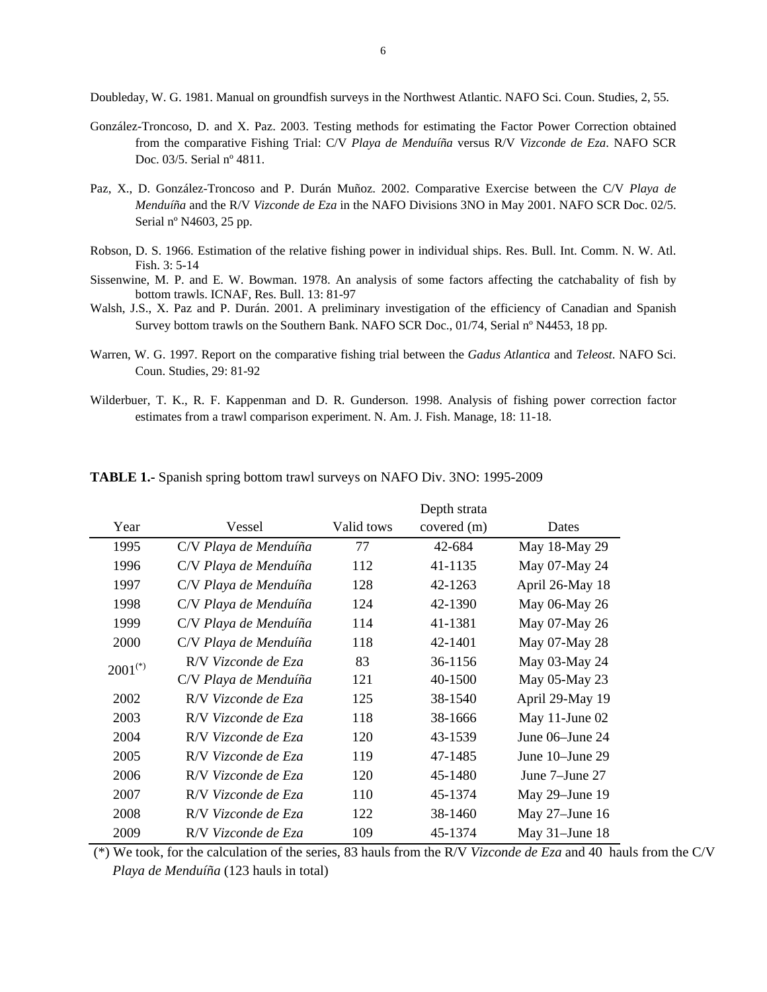Doubleday, W. G. 1981. Manual on groundfish surveys in the Northwest Atlantic. NAFO Sci. Coun. Studies, 2, 55.

- González-Troncoso, D. and X. Paz. 2003. Testing methods for estimating the Factor Power Correction obtained from the comparative Fishing Trial: C/V *Playa de Menduíña* versus R/V *Vizconde de Eza*. NAFO SCR Doc. 03/5. Serial nº 4811.
- Paz, X., D. González-Troncoso and P. Durán Muñoz. 2002. Comparative Exercise between the C/V *Playa de Menduíña* and the R/V *Vizconde de Eza* in the NAFO Divisions 3NO in May 2001. NAFO SCR Doc. 02/5. Serial nº N4603, 25 pp.
- Robson, D. S. 1966. Estimation of the relative fishing power in individual ships. Res. Bull. Int. Comm. N. W. Atl. Fish. 3: 5-14
- Sissenwine, M. P. and E. W. Bowman. 1978. An analysis of some factors affecting the catchabality of fish by bottom trawls. ICNAF, Res. Bull. 13: 81-97
- Walsh, J.S., X. Paz and P. Durán. 2001. A preliminary investigation of the efficiency of Canadian and Spanish Survey bottom trawls on the Southern Bank. NAFO SCR Doc., 01/74, Serial nº N4453, 18 pp.
- Warren, W. G. 1997. Report on the comparative fishing trial between the *Gadus Atlantica* and *Teleost*. NAFO Sci. Coun. Studies, 29: 81-92
- Wilderbuer, T. K., R. F. Kappenman and D. R. Gunderson. 1998. Analysis of fishing power correction factor estimates from a trawl comparison experiment. N. Am. J. Fish. Manage, 18: 11-18.

|              |                       |            | Depth strata |                   |
|--------------|-----------------------|------------|--------------|-------------------|
| Year         | Vessel                | Valid tows | covered (m)  | Dates             |
| 1995         | C/V Playa de Menduíña | 77         | 42-684       | May 18-May 29     |
| 1996         | C/V Playa de Menduíña | 112        | 41-1135      | May 07-May 24     |
| 1997         | C/V Playa de Menduíña | 128        | 42-1263      | April 26-May 18   |
| 1998         | C/V Playa de Menduíña | 124        | 42-1390      | May 06-May 26     |
| 1999         | C/V Playa de Menduíña | 114        | 41-1381      | May 07-May 26     |
| 2000         | C/V Playa de Menduíña | 118        | 42-1401      | May 07-May 28     |
| $2001^{(*)}$ | R/V Vizconde de Eza   | 83         | 36-1156      | May 03-May 24     |
|              | C/V Playa de Menduíña | 121        | 40-1500      | May 05-May 23     |
| 2002         | R/V Vizconde de Eza   | 125        | 38-1540      | April 29-May 19   |
| 2003         | R/V Vizconde de Eza   | 118        | 38-1666      | May 11-June $02$  |
| 2004         | R/V Vizconde de Eza   | 120        | 43-1539      | June 06–June 24   |
| 2005         | R/V Vizconde de Eza   | 119        | 47-1485      | June 10–June 29   |
| 2006         | R/V Vizconde de Eza   | 120        | 45-1480      | June 7–June 27    |
| 2007         | R/V Vizconde de Eza   | 110        | 45-1374      | May 29–June 19    |
| 2008         | R/V Vizconde de Eza   | 122        | 38-1460      | May $27$ –June 16 |
| 2009         | R/V Vizconde de Eza   | 109        | 45-1374      | May $31$ -June 18 |

**TABLE 1.-** Spanish spring bottom trawl surveys on NAFO Div. 3NO: 1995-2009

 (\*) We took, for the calculation of the series, 83 hauls from the R/V *Vizconde de Eza* and 40 hauls from the C/V *Playa de Menduíña* (123 hauls in total)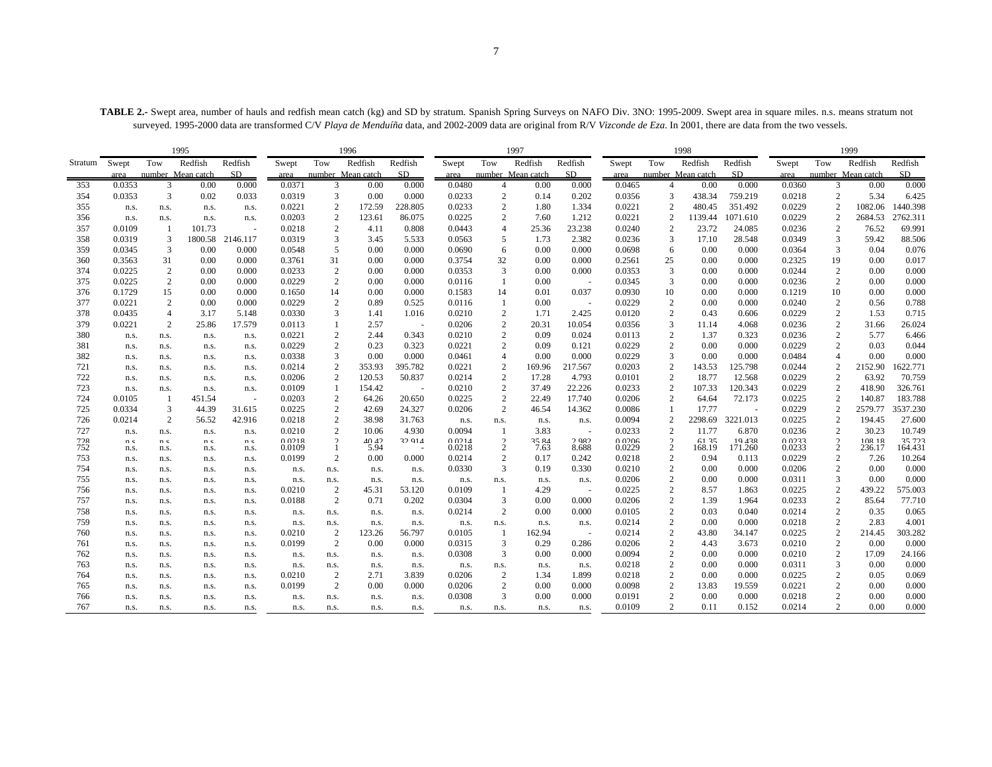**TABLE 2.-** Swept area, number of hauls and redfish mean catch (kg) and SD by stratum. Spanish Spring Surveys on NAFO Div. 3NO: 1995-2009. Swept area in square miles. n.s. means stratum not surveyed. 1995-2000 data are transformed C/V *Playa de Menduíña* data, and 2002-2009 data are original from R/V *Vizconde de Eza*. In 2001, there are data from the two vessels.

|            |                |                | 1995              |                          |        |                                  | 1996              |                 |                  |                | 1997              |                          |                  |                                  | 1998              |                 |                  |                                  | 1999              |                  |
|------------|----------------|----------------|-------------------|--------------------------|--------|----------------------------------|-------------------|-----------------|------------------|----------------|-------------------|--------------------------|------------------|----------------------------------|-------------------|-----------------|------------------|----------------------------------|-------------------|------------------|
| Stratum    | Swept          | Tow            | Redfish           | Redfish                  | Swept  | Tow                              | Redfish           | Redfish         | Swept            | Tow            | Redfish           | Redfish                  | Swept            | Tow                              | Redfish           | Redfish         | Swept            | Tow                              | Redfish           | Redfish          |
|            | area           |                | number Mean catch | SD.                      | area   |                                  | number Mean catch | SD.             | area             |                | number Mean catch | SD <sub></sub>           | area             |                                  | number Mean catch | SD.             | area             |                                  | number Mean catch | SD.              |
| 353        | 0.0353         | 3              | 0.00              | 0.000                    | 0.0371 | 3                                | 0.00              | 0.000           | 0.0480           | $\overline{4}$ | 0.00              | 0.000                    | 0.0465           | $\overline{4}$                   | 0.00              | 0.000           | 0.0360           | 3                                | 0.00              | 0.000            |
| 354        | 0.0353         | 3              | 0.02              | 0.033                    | 0.0319 | 3                                | 0.00              | 0.000           | 0.0233           | $\overline{c}$ | 0.14              | 0.202                    | 0.0356           | 3                                | 438.34            | 759.219         | 0.0218           | 2                                | 5.34              | 6.425            |
| 355        | n.s.           | n.s.           | n.s.              | n.s.                     | 0.0221 | $\overline{2}$                   | 172.59            | 228.805         | 0.0233           | $\overline{2}$ | 1.80              | 1.334                    | 0.0221           | $\overline{2}$                   | 480.45            | 351.492         | 0.0229           | $\overline{2}$                   | 1082.06           | 1440.398         |
| 356        | n.s.           | n.s.           | n.s.              | n.s.                     | 0.0203 | $\overline{2}$                   | 123.61            | 86.075          | 0.0225           | 2              | 7.60              | 1.212                    | 0.0221           | 2                                | 1139.44           | 1071.610        | 0.0229           | $\overline{2}$                   | 2684.53           | 2762.311         |
| 357        | 0.0109         |                | 101.73            | $\overline{\phantom{a}}$ | 0.0218 | 2                                | 4.11              | 0.808           | 0.0443           | 4              | 25.36             | 23.238                   | 0.0240           | $\overline{2}$                   | 23.72             | 24.085          | 0.0236           | 2                                | 76.52             | 69.991           |
| 358        | 0.0319         | 3              | 1800.58           | 2146.117                 | 0.0319 | 3                                | 3.45              | 5.533           | 0.0563           | 5              | 1.73              | 2.382                    | 0.0236           | 3                                | 17.10             | 28.548          | 0.0349           | 3                                | 59.42             | 88.506           |
| 359        | 0.0345         | 3              | 0.00              | 0.000                    | 0.0548 | 5                                | 0.00              | 0.000           | 0.0690           | 6              | 0.00              | 0.000                    | 0.0698           | 6                                | 0.00              | 0.000           | 0.0364           | 3                                | 0.04              | 0.076            |
| 360        | 0.3563         | 31             | 0.00              | 0.000                    | 0.3761 | 31                               | 0.00              | 0.000           | 0.3754           | 32             | 0.00              | 0.000                    | 0.2561           | 25                               | 0.00              | 0.000           | 0.2325           | 19                               | 0.00              | 0.017            |
| 374        | 0.0225         | 2              | 0.00              | 0.000                    | 0.0233 | $\overline{2}$                   | 0.00              | 0.000           | 0.0353           | 3              | 0.00              | 0.000                    | 0.0353           | 3                                | 0.00              | 0.000           | 0.0244           | $\overline{2}$                   | 0.00              | 0.000            |
| 375        | 0.0225         | 2              | 0.00              | 0.000                    | 0.0229 | 2                                | 0.00              | 0.000           | 0.0116           | 1              | 0.00              | $\sim$                   | 0.0345           | 3                                | 0.00              | 0.000           | 0.0236           | 2                                | 0.00              | 0.000            |
| 376        | 0.1729         | 15             | 0.00              | 0.000                    | 0.1650 | 14                               | 0.00              | 0.000           | 0.1583           | 14             | 0.01              | 0.037                    | 0.0930           | 10                               | 0.00              | 0.000           | 0.1219           | 10                               | 0.00              | 0.000            |
| 377        | 0.0221         | 2              | 0.00              | 0.000                    | 0.0229 | 2                                | 0.89              | 0.525           | 0.0116           | -1             | 0.00              | $\sim$                   | 0.0229           | 2                                | 0.00              | 0.000           | 0.0240           | 2                                | 0.56              | 0.788            |
| 378        | 0.0435         | $\overline{4}$ | 3.17              | 5.148                    | 0.0330 | 3                                | 1.41              | 1.016           | 0.0210           | 2              | 1.71              | 2.425                    | 0.0120           | $\overline{c}$                   | 0.43              | 0.606           | 0.0229           | $\overline{2}$                   | 1.53              | 0.715            |
| 379        | 0.0221         | 2              | 25.86             | 17.579                   | 0.0113 |                                  | 2.57              |                 | 0.0206           | $\overline{c}$ | 20.31             | 10.054                   | 0.0356           | 3                                | 11.14             | 4.068           | 0.0236           | $\overline{2}$                   | 31.66             | 26.024           |
| 380        | n.s.           | n.s.           | n.s.              | n.s.                     | 0.0221 | $\overline{c}$                   | 2.44              | 0.343           | 0.0210           | 2              | 0.09              | 0.024                    | 0.0113           | $\overline{2}$                   | 1.37              | 0.323           | 0.0236           | $\overline{2}$                   | 5.77              | 6.466            |
| 381        | n.s.           | n.s.           | n.s.              | n.s.                     | 0.0229 | 2                                | 0.23              | 0.323           | 0.0221           | $\overline{2}$ | 0.09              | 0.121                    | 0.0229           | $\overline{2}$                   | 0.00              | 0.000           | 0.0229           | $\overline{2}$                   | 0.03              | 0.044            |
| 382        | n.s.           | n.s.           | n.s.              | n.s.                     | 0.0338 | 3                                | 0.00              | 0.000           | 0.0461           | $\overline{4}$ | 0.00              | 0.000                    | 0.0229           | 3                                | 0.00              | 0.000           | 0.0484           | $\overline{4}$                   | 0.00              | 0.000            |
| 721        | n.s.           | n.s.           | n.s.              | n.s.                     | 0.0214 | $\overline{2}$                   | 353.93            | 395.782         | 0.0221           | 2              | 169.96            | 217.567                  | 0.0203           | 2                                | 143.53            | 125.798         | 0.0244           | $\overline{c}$                   | 2152.90           | 1622.771         |
| 722        | n.s.           | n.s.           | n.s.              | n.s.                     | 0.0206 | $\overline{2}$                   | 120.53            | 50.837          | 0.0214           | $\overline{c}$ | 17.28             | 4.793                    | 0.0101           | $\overline{2}$                   | 18.77             | 12.568          | 0.0229           | $\overline{2}$                   | 63.92             | 70.759           |
| 723        | n.s.           | n.s.           | n.s.              | n.s.                     | 0.0109 | -1                               | 154.42            |                 | 0.0210           | $\overline{2}$ | 37.49             | 22.226                   | 0.0233           | $\overline{2}$                   | 107.33            | 120.343         | 0.0229           | $\overline{2}$                   | 418.90            | 326.761          |
| 724        | 0.0105         |                | 451.54            | $\overline{\phantom{a}}$ | 0.0203 | $\overline{2}$                   | 64.26             | 20.650          | 0.0225           | 2              | 22.49             | 17.740                   | 0.0206           | $\overline{c}$                   | 64.64             | 72.173          | 0.0225           | $\overline{2}$                   | 140.87            | 183.788          |
| 725        | 0.0334         | 3              | 44.39             | 31.615                   | 0.0225 | $\overline{2}$                   | 42.69             | 24.327          | 0.0206           | 2              | 46.54             | 14.362                   | 0.0086           | 1                                | 17.77             |                 | 0.0229           | $\overline{c}$                   | 2579.77           | 3537.230         |
| 726        | 0.0214         | 2              | 56.52             | 42.916                   | 0.0218 | $\overline{2}$                   | 38.98             | 31.763          | n.s.             | n.s.           | n.s.              | n.s.                     | 0.0094           | $\overline{c}$                   | 2298.69           | 3221.013        | 0.0225           | $\overline{2}$                   | 194.45            | 27.600           |
| 727        | n.s.           | n.s.           | n.s.              | n.s.                     | 0.0210 | $\overline{2}$                   | 10.06             | 4.930           | 0.0094           | $\overline{1}$ | 3.83              | $\overline{\phantom{a}}$ | 0.0233           | $\overline{c}$                   | 11.77             | 6.870           | 0.0236           | 2                                | 30.23             | 10.749           |
| 728        | n <sub>c</sub> | n <sub>c</sub> | n <sub>c</sub>    | n <sub>c</sub>           | 0.0218 | $\mathcal{L}$                    | 40.42             | 32.914          | 0.0214           | $\mathcal{D}$  | 35.84             | 2982                     | 0.0206           | $\mathcal{D}$                    | 6135              | 19438           | 0.0233           | $\Omega$                         | 108.18            | 35723            |
| 752        | n.s.           | n.s.           | n.s.              | n.s.                     | 0.0109 |                                  | 5.94              | 0.000           | 0.0218<br>0.0214 | 2<br>2         | 7.63              | 8.688                    | 0.0229<br>0.0218 | $\overline{2}$<br>$\overline{2}$ | 168.19            | 171.260         | 0.0233<br>0.0229 | $\overline{2}$<br>$\overline{2}$ | 236.17            | 164.431          |
| 753<br>754 | n.s.           | n.s.           | n.s.              | n.s.                     | 0.0199 | $\overline{2}$                   | 0.00              |                 |                  | 3              | 0.17              | 0.242                    | 0.0210           | $\overline{2}$                   | 0.94              | 0.113           | 0.0206           | $\overline{2}$                   | 7.26<br>0.00      | 10.264<br>0.000  |
|            | n.s.           | n.s.           | n.s.              | n.s.                     | n.s.   | n.s.                             | n.s.              | n.s.            | 0.0330           |                | 0.19              | 0.330                    |                  |                                  | 0.00              | 0.000           |                  |                                  |                   |                  |
| 755        | n.s.           | n.s.           | n.s.              | n.s.                     | n.s.   | n.s.                             | n.s.              | n.s.            | n.s.             | n.s.           | n.s.              | n.s.                     | 0.0206           | 2<br>$\overline{2}$              | 0.00              | 0.000           | 0.0311           | 3<br>2                           | 0.00              | 0.000<br>575.003 |
| 756        | n.s.           | n.s.           | n.s.              | n.s.                     | 0.0210 | $\overline{2}$<br>$\overline{2}$ | 45.31             | 53.120<br>0.202 | 0.0109<br>0.0304 | -1<br>3        | 4.29              | ۰.<br>0.000              | 0.0225<br>0.0206 | $\overline{2}$                   | 8.57              | 1.863           | 0.0225<br>0.0233 | $\overline{2}$                   | 439.22<br>85.64   | 77.710           |
| 757        | n.s.           | n.s.           | n.s.              | n.s.                     | 0.0188 |                                  | 0.71              |                 |                  | 2              | 0.00              |                          |                  | $\overline{2}$                   | 1.39              | 1.964           | 0.0214           | $\overline{2}$                   | 0.35              |                  |
| 758        | n.s.           | n.s.           | n.s.              | n.s.                     | n.s.   | n.s.                             | n.s.              | n.s.            | 0.0214           |                | 0.00              | 0.000                    | 0.0105           | $\overline{c}$                   | 0.03              | 0.040           |                  | $\overline{2}$                   | 2.83              | 0.065            |
| 759        | n.s.           | n.s.           | n.s.              | n.s.                     | n.s.   | n.s.                             | n.s.              | n.s.            | n.s.             | n.s.           | n.s.              | n.s.                     | 0.0214           |                                  | 0.00              | 0.000           | 0.0218<br>0.0225 |                                  |                   | 4.001<br>303.282 |
| 760        | n.s.           | n.s.           | n.s.              | n.s.                     | 0.0210 | $\overline{c}$                   | 123.26            | 56.797          | 0.0105           | -1             | 162.94            | $\sim$                   | 0.0214           | $\overline{2}$                   | 43.80             | 34.147          |                  | $\overline{2}$                   | 214.45            |                  |
| 761<br>762 | n.s.           | n.s.           | n.s.              | n.s.                     | 0.0199 | 2                                | 0.00              | 0.000           | 0.0315           | 3<br>3         | 0.29<br>0.00      | 0.286<br>0.000           | 0.0206<br>0.0094 | $\overline{2}$<br>$\overline{2}$ | 4.43              | 3.673           | 0.0210           | 2<br>$\overline{2}$              | 0.00<br>17.09     | 0.000<br>24.166  |
|            | n.s.           | n.s.           | n.s.              | n.s.                     | n.s.   | n.s.                             | n.s.              | n.s.            | 0.0308           |                |                   |                          |                  | $\overline{2}$                   | 0.00              | 0.000           | 0.0210<br>0.0311 | 3                                | 0.00              | 0.000            |
| 763        | n.s.           | n.s.           | n.s.              | n.s.                     | n.s.   | n.s.                             | n.s.              | n.s.            | n.s.             | n.s.           | n.s.              | n.s.                     | 0.0218           |                                  | 0.00              | 0.000           |                  | $\overline{2}$                   |                   |                  |
| 764        | n.s.           | n.s.           | n.s.              | n.s.                     | 0.0210 | $\overline{2}$<br>2              | 2.71              | 3.839           | 0.0206           | 2<br>2         | 1.34              | 1.899                    | 0.0218           | 2<br>$\overline{2}$              | 0.00              | 0.000           | 0.0225           | $\overline{2}$                   | 0.05              | 0.069            |
| 765        | n.s.           | n.s.           | n.s.              | n.s.                     | 0.0199 |                                  | 0.00              | 0.000           | 0.0206           | 3              | 0.00              | 0.000                    | 0.0098           |                                  | 13.83             | 19.559<br>0.000 | 0.0221<br>0.0218 | $\overline{2}$                   | 0.00              | 0.000            |
| 766        | n.s.           | n.s.           | n.s.              | n.s.                     | n.s.   | n.s.                             | n.s.              | n.s.            | 0.0308           |                | 0.00              | 0.000                    | 0.0191           | $\overline{2}$                   | 0.00              |                 |                  |                                  | 0.00              | 0.000            |
| 767        | n.s.           | n.s.           | n.s.              | n.s.                     | n.s.   | n.s.                             | n.s.              | n.s.            | n.s.             | n.s.           | n.s.              | n.s.                     | 0.0109           | $\overline{2}$                   | 0.11              | 0.152           | 0.0214           | 2                                | 0.00              | 0.000            |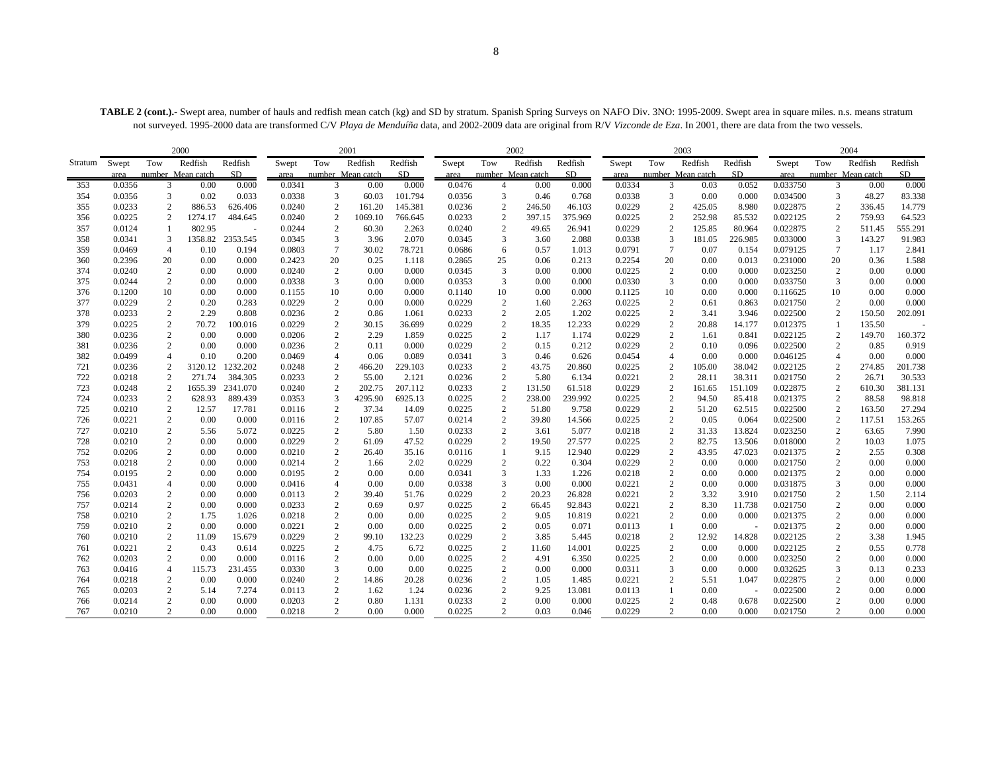TABLE 2 (cont.).- Swept area, number of hauls and redfish mean catch (kg) and SD by stratum. Spanish Spring Surveys on NAFO Div. 3NO: 1995-2009. Swept area in square miles. n.s. means stratum not surveyed. 1995-2000 data are transformed C/V *Playa de Menduíña* data, and 2002-2009 data are original from R/V *Vizconde de Eza*. In 2001, there are data from the two vessels.

|         |        |                | 2000              |                |        |                | 2001              |         |        |                | 2002              |         |        |                  | 2003              |         |          |                        | 2004              |         |
|---------|--------|----------------|-------------------|----------------|--------|----------------|-------------------|---------|--------|----------------|-------------------|---------|--------|------------------|-------------------|---------|----------|------------------------|-------------------|---------|
| Stratum | Swept  | Tow            | Redfish           | Redfish        | Swept  | Tow            | Redfish           | Redfish | Swept  | Tow            | Redfish           | Redfish | Swept  | Tow              | Redfish           | Redfish | Swept    | Tow                    | Redfish           | Redfish |
|         | area   |                | number Mean catch | SD.            | area   |                | number Mean catch | SD.     | area   |                | number Mean catch | SD.     | area   |                  | number Mean catch | SD      | area     |                        | number Mean catch | SD.     |
| 353     | 0.0356 | 3              | 0.00              | 0.000          | 0.0341 | 3              | 0.00              | 0.000   | 0.0476 | $\overline{4}$ | 0.00              | 0.000   | 0.0334 | 3                | 0.03              | 0.052   | 0.033750 | 3                      | 0.00              | 0.000   |
| 354     | 0.0356 | 3              | 0.02              | 0.033          | 0.0338 | 3              | 60.03             | 101.794 | 0.0356 | 3              | 0.46              | 0.768   | 0.0338 | 3                | 0.00              | 0.000   | 0.034500 | 3                      | 48.27             | 83.338  |
| 355     | 0.0233 | $\overline{c}$ | 886.53            | 626.406        | 0.0240 | $\overline{2}$ | 161.20            | 145.381 | 0.0236 | $\overline{2}$ | 246.50            | 46.103  | 0.0229 | $\boldsymbol{2}$ | 425.05            | 8.980   | 0.022875 | $\overline{c}$         | 336.45            | 14.779  |
| 356     | 0.0225 | 2              | 1274.17           | 484.645        | 0.0240 | 2              | 1069.10           | 766.645 | 0.0233 | $\overline{c}$ | 397.15            | 375.969 | 0.0225 | $\overline{c}$   | 252.98            | 85.532  | 0.022125 | $\overline{c}$         | 759.93            | 64.523  |
| 357     | 0.0124 | -1             | 802.95            | $\overline{a}$ | 0.0244 | 2              | 60.30             | 2.263   | 0.0240 | $\overline{c}$ | 49.65             | 26.941  | 0.0229 | $\overline{2}$   | 125.85            | 80.964  | 0.022875 | 2                      | 511.45            | 555.291 |
| 358     | 0.0341 | 3              | 1358.82           | 2353.545       | 0.0345 | 3              | 3.96              | 2.070   | 0.0345 | 3              | 3.60              | 2.088   | 0.0338 | 3                | 181.05            | 226.985 | 0.033000 | 3                      | 143.27            | 91.983  |
| 359     | 0.0469 | $\overline{4}$ | 0.10              | 0.194          | 0.0803 | $\overline{7}$ | 30.02             | 78.721  | 0.0686 | 6              | 0.57              | 1.013   | 0.0791 | $\overline{7}$   | 0.07              | 0.154   | 0.079125 | $\tau$                 | 1.17              | 2.841   |
| 360     | 0.2396 | 20             | 0.00              | 0.000          | 0.2423 | 20             | 0.25              | 1.118   | 0.2865 | 25             | 0.06              | 0.213   | 0.2254 | 20               | 0.00              | 0.013   | 0.231000 | 20                     | 0.36              | 1.588   |
| 374     | 0.0240 | $\overline{c}$ | 0.00              | 0.000          | 0.0240 | 2              | 0.00              | 0.000   | 0.0345 | 3              | 0.00              | 0.000   | 0.0225 | $\sqrt{2}$       | 0.00              | 0.000   | 0.023250 | $\boldsymbol{2}$       | 0.00              | 0.000   |
| 375     | 0.0244 | 2              | 0.00              | 0.000          | 0.0338 | 3              | 0.00              | 0.000   | 0.0353 | 3              | 0.00              | 0.000   | 0.0330 | 3                | 0.00              | 0.000   | 0.033750 | 3                      | 0.00              | 0.000   |
| 376     | 0.1200 | 10             | 0.00              | 0.000          | 0.1155 | 10             | 0.00              | 0.000   | 0.1140 | 10             | 0.00              | 0.000   | 0.1125 | 10               | 0.00              | 0.000   | 0.116625 | 10                     | 0.00              | 0.000   |
| 377     | 0.0229 | $\sqrt{2}$     | 0.20              | 0.283          | 0.0229 | $\overline{2}$ | 0.00              | 0.000   | 0.0229 | $\overline{2}$ | 1.60              | 2.263   | 0.0225 | $\overline{2}$   | 0.61              | 0.863   | 0.021750 | $\overline{c}$         | 0.00              | 0.000   |
| 378     | 0.0233 | 2              | 2.29              | 0.808          | 0.0236 | $\overline{c}$ | 0.86              | 1.061   | 0.0233 | 2              | 2.05              | 1.202   | 0.0225 | $\overline{2}$   | 3.41              | 3.946   | 0.022500 | $\overline{c}$         | 150.50            | 202.091 |
| 379     | 0.0225 | 2              | 70.72             | 100.016        | 0.0229 | $\overline{c}$ | 30.15             | 36.699  | 0.0229 | 2              | 18.35             | 12.233  | 0.0229 | $\overline{c}$   | 20.88             | 14.177  | 0.012375 | 1                      | 135.50            |         |
| 380     | 0.0236 | 2              | 0.00              | 0.000          | 0.0206 | $\overline{c}$ | 2.29              | 1.859   | 0.0225 | $\overline{c}$ | 1.17              | 1.174   | 0.0229 | $\overline{2}$   | 1.61              | 0.841   | 0.022125 | $\overline{c}$         | 149.70            | 160.372 |
| 381     | 0.0236 | 2              | 0.00              | 0.000          | 0.0236 | $\overline{2}$ | 0.11              | 0.000   | 0.0229 | 2              | 0.15              | 0.212   | 0.0229 | $\overline{2}$   | 0.10              | 0.096   | 0.022500 | $\overline{c}$         | 0.85              | 0.919   |
| 382     | 0.0499 | $\overline{4}$ | 0.10              | 0.200          | 0.0469 | $\overline{4}$ | 0.06              | 0.089   | 0.0341 | 3              | 0.46              | 0.626   | 0.0454 | $\overline{4}$   | 0.00              | 0.000   | 0.046125 | $\overline{4}$         | 0.00              | 0.000   |
| 721     | 0.0236 |                | 3120.12           | 1232.202       | 0.0248 | $\overline{2}$ | 466.20            | 229.103 | 0.0233 | 2              | 43.75             | 20.860  | 0.0225 | $\boldsymbol{2}$ | 105.00            | 38.042  | 0.022125 | $\overline{c}$         | 274.85            | 201.738 |
| 722     | 0.0218 | 2              | 271.74            | 384.305        | 0.0233 | 2              | 55.00             | 2.121   | 0.0236 | $\overline{c}$ | 5.80              | 6.134   | 0.0221 | $\overline{2}$   | 28.11             | 38.311  | 0.021750 | $\overline{c}$         | 26.71             | 30.533  |
| 723     | 0.0248 | 2              | 1655.39           | 2341.070       | 0.0240 | $\overline{c}$ | 202.75            | 207.112 | 0.0233 | 2              | 131.50            | 61.518  | 0.0229 | $\overline{c}$   | 161.65            | 151.109 | 0.022875 | 2                      | 610.30            | 381.131 |
| 724     | 0.0233 | $\overline{c}$ | 628.93            | 889.439        | 0.0353 | 3              | 4295.90           | 6925.13 | 0.0225 | 2              | 238.00            | 239.992 | 0.0225 | $\overline{c}$   | 94.50             | 85.418  | 0.021375 | $\overline{c}$         | 88.58             | 98.818  |
| 725     | 0.0210 | $\overline{c}$ | 12.57             | 17.781         | 0.0116 | $\overline{c}$ | 37.34             | 14.09   | 0.0225 | $\mathbf{2}$   | 51.80             | 9.758   | 0.0229 | $\overline{2}$   | 51.20             | 62.515  | 0.022500 | $\overline{2}$         | 163.50            | 27.294  |
| 726     | 0.0221 | 2              | 0.00              | 0.000          | 0.0116 | 2              | 107.85            | 57.07   | 0.0214 | 2              | 39.80             | 14.566  | 0.0225 | $\overline{c}$   | 0.05              | 0.064   | 0.022500 | 2                      | 117.51            | 153.265 |
| 727     | 0.0210 | $\overline{c}$ | 5.56              | 5.072          | 0.0225 | $\overline{c}$ | 5.80              | 1.50    | 0.0233 | $\overline{2}$ | 3.61              | 5.077   | 0.0218 | $\overline{2}$   | 31.33             | 13.824  | 0.023250 | $\overline{c}$         | 63.65             | 7.990   |
| 728     | 0.0210 | 2              | 0.00              | 0.000          | 0.0229 | $\overline{c}$ | 61.09             | 47.52   | 0.0229 | $\overline{c}$ | 19.50             | 27.577  | 0.0225 | $\overline{2}$   | 82.75             | 13.506  | 0.018000 | $\overline{2}$         | 10.03             | 1.075   |
| 752     | 0.0206 | 2              | 0.00              | 0.000          | 0.0210 | $\overline{c}$ | 26.40             | 35.16   | 0.0116 | -1             | 9.15              | 12.940  | 0.0229 | $\overline{c}$   | 43.95             | 47.023  | 0.021375 | $\overline{c}$         | 2.55              | 0.308   |
| 753     | 0.0218 | 2              | 0.00              | 0.000          | 0.0214 | 2              | 1.66              | 2.02    | 0.0229 | 2              | 0.22              | 0.304   | 0.0229 | $\overline{2}$   | 0.00              | 0.000   | 0.021750 | $\overline{c}$         | 0.00              | 0.000   |
| 754     | 0.0195 | $\overline{c}$ | 0.00              | 0.000          | 0.0195 | $\overline{c}$ | 0.00              | 0.00    | 0.0341 | 3              | 1.33              | 1.226   | 0.0218 | $\overline{2}$   | 0.00              | 0.000   | 0.021375 | $\sqrt{2}$             | 0.00              | 0.000   |
| 755     | 0.0431 | $\overline{4}$ | 0.00              | 0.000          | 0.0416 | $\overline{4}$ | 0.00              | 0.00    | 0.0338 | 3              | 0.00              | 0.000   | 0.0221 | $\overline{2}$   | 0.00              | 0.000   | 0.031875 | 3                      | 0.00              | 0.000   |
| 756     | 0.0203 | $\overline{c}$ | 0.00              | 0.000          | 0.0113 | $\overline{c}$ | 39.40             | 51.76   | 0.0229 | $\overline{c}$ | 20.23             | 26.828  | 0.0221 | $\overline{2}$   | 3.32              | 3.910   | 0.021750 | $\boldsymbol{2}$       | 1.50              | 2.114   |
| 757     | 0.0214 | 2              | 0.00              | 0.000          | 0.0233 | $\overline{c}$ | 0.69              | 0.97    | 0.0225 | 2              | 66.45             | 92.843  | 0.0221 | $\overline{2}$   | 8.30              | 11.738  | 0.021750 | $\overline{c}$         | 0.00              | 0.000   |
| 758     | 0.0210 | 2              | 1.75              | 1.026          | 0.0218 | $\overline{2}$ | 0.00              | 0.00    | 0.0225 | 2              | 9.05              | 10.819  | 0.0221 | $\overline{2}$   | 0.00              | 0.000   | 0.021375 | $\overline{c}$         | 0.00              | 0.000   |
| 759     | 0.0210 | 2              | 0.00              | 0.000          | 0.0221 | 2              | 0.00              | 0.00    | 0.0225 | 2              | 0.05              | 0.071   | 0.0113 | 1                | 0.00              |         | 0.021375 | 2                      | 0.00              | 0.000   |
| 760     | 0.0210 | 2              | 11.09             | 15.679         | 0.0229 | $\overline{c}$ | 99.10             | 132.23  | 0.0229 | 2              | 3.85              | 5.445   | 0.0218 | $\overline{2}$   | 12.92             | 14.828  | 0.022125 | $\overline{c}$         | 3.38              | 1.945   |
| 761     | 0.0221 | 2              | 0.43              | 0.614          | 0.0225 | 2              | 4.75              | 6.72    | 0.0225 | 2              | 11.60             | 14.001  | 0.0225 | $\overline{2}$   | 0.00              | 0.000   | 0.022125 | $\overline{c}$         | 0.55              | 0.778   |
| 762     | 0.0203 | 2              | 0.00              | 0.000          | 0.0116 | $\overline{2}$ | 0.00              | 0.00    | 0.0225 | 2              | 4.91              | 6.350   | 0.0225 | $\overline{c}$   | 0.00              | 0.000   | 0.023250 | $\overline{c}$         | 0.00              | 0.000   |
| 763     | 0.0416 | $\overline{4}$ | 115.73            | 231.455        | 0.0330 | 3              | 0.00              | 0.00    | 0.0225 | 2              | 0.00              | 0.000   | 0.0311 | 3                | 0.00              | 0.000   | 0.032625 | 3                      | 0.13              | 0.233   |
| 764     | 0.0218 | 2              | 0.00              | 0.000          | 0.0240 | $\overline{2}$ | 14.86             | 20.28   | 0.0236 | 2              | 1.05              | 1.485   | 0.0221 | $\overline{2}$   | 5.51              | 1.047   | 0.022875 | $\overline{2}$         | 0.00              | 0.000   |
| 765     | 0.0203 | 2              | 5.14              | 7.274          | 0.0113 | 2              | 1.62              | 1.24    | 0.0236 | $\overline{2}$ | 9.25              | 13.081  | 0.0113 | $\mathbf{1}$     | 0.00              |         | 0.022500 | 2                      | 0.00              | 0.000   |
| 766     | 0.0214 | 2              | 0.00              | 0.000          | 0.0203 | $\overline{2}$ | 0.80              | 1.131   | 0.0233 | $\overline{2}$ | 0.00              | 0.000   | 0.0225 | $\overline{2}$   | 0.48              | 0.678   | 0.022500 | 2                      | 0.00              | 0.000   |
| 767     | 0.0210 | 2              | 0.00              | 0.000          | 0.0218 | $\overline{c}$ | 0.00              | 0.000   | 0.0225 | $\overline{2}$ | 0.03              | 0.046   | 0.0229 | $\overline{c}$   | 0.00              | 0.000   | 0.021750 | $\mathcal{D}_{\alpha}$ | 0.00              | 0.000   |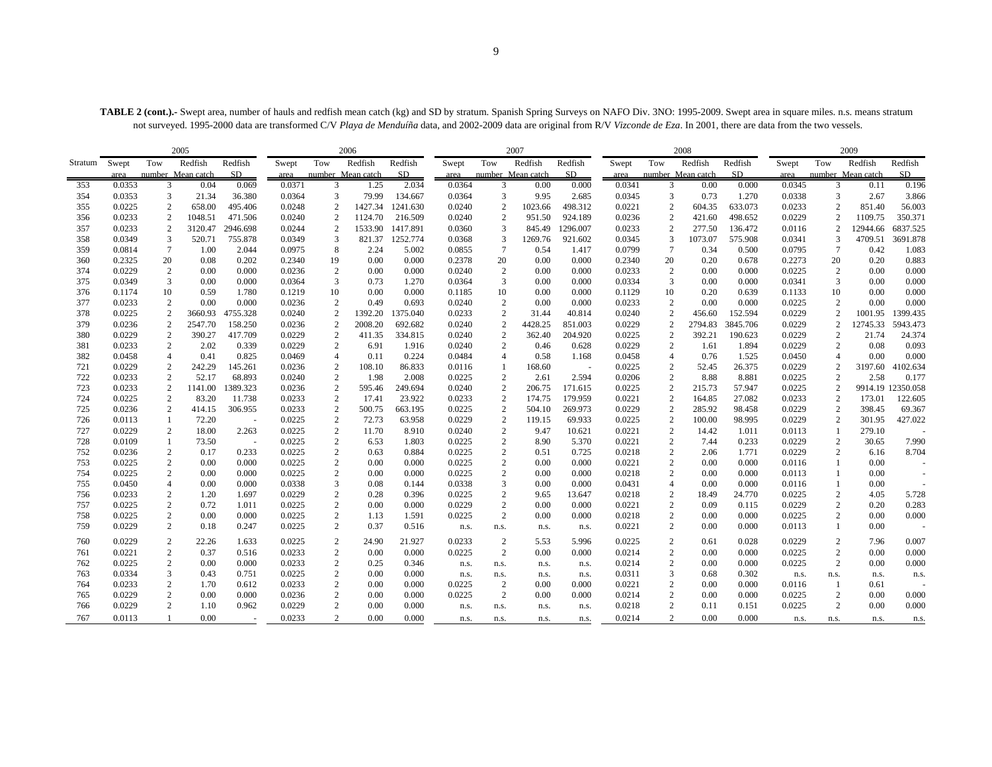TABLE 2 (cont.).- Swept area, number of hauls and redfish mean catch (kg) and SD by stratum. Spanish Spring Surveys on NAFO Div. 3NO: 1995-2009. Swept area in square miles. n.s. means stratum not surveyed. 1995-2000 data are transformed C/V *Playa de Menduíña* data, and 2002-2009 data are original from R/V *Vizconde de Eza*. In 2001, there are data from the two vessels.

|         | 2005   |                 |                   |                          |        |                  | 2006              |           |        |              | 2007                      |          |        |                  | 2008              |          |        |                  | 2009              |                   |
|---------|--------|-----------------|-------------------|--------------------------|--------|------------------|-------------------|-----------|--------|--------------|---------------------------|----------|--------|------------------|-------------------|----------|--------|------------------|-------------------|-------------------|
| Stratum | Swept  | Tow             | Redfish           | Redfish                  | Swept  | Tow              | Redfish           | Redfish   | Swept  | Tow          | Redfish                   | Redfish  | Swept  | Tow              | Redfish           | Redfish  | Swept  | Tow              | Redfish           | Redfish           |
|         | area   |                 | number Mean catch | SD.                      | area   |                  | number Mean catch | <b>SD</b> | area   |              | number Mean catch         | SD.      | area   |                  | number Mean catch | SD.      | area   |                  | number Mean catch | SD.               |
| 353     | 0.0353 | 3               | 0.04              | 0.069                    | 0.0371 | 3                | 1.25              | 2.034     | 0.0364 |              | $\mathcal{R}$<br>0.00     | 0.000    | 0.0341 | 3                | 0.00              | 0.000    | 0.0345 | 3                | 0.11              | 0.196             |
| 354     | 0.0353 | 3               | 21.34             | 36.380                   | 0.0364 | 3                | 79.99             | 134.667   | 0.0364 |              | 3<br>9.95                 | 2.685    | 0.0345 | 3                | 0.73              | 1.270    | 0.0338 | 3                | 2.67              | 3.866             |
| 355     | 0.0225 | $\overline{c}$  | 658.00            | 495.406                  | 0.0248 | $\overline{c}$   | 1427.34           | 1241.630  | 0.0240 |              | $\mathbf{2}$<br>1023.66   | 498.312  | 0.0221 | $\overline{c}$   | 604.35            | 633.073  | 0.0233 | $\overline{c}$   | 851.40            | 56.003            |
| 356     | 0.0233 | $\overline{c}$  | 1048.51           | 471.506                  | 0.0240 | 2                | 1124.70           | 216.509   | 0.0240 |              | 2<br>951.50               | 924.189  | 0.0236 | $\overline{2}$   | 421.60            | 498.652  | 0.0229 | $\overline{c}$   | 1109.75           | 350.371           |
| 357     | 0.0233 | 2               | 3120.47           | 2946.698                 | 0.0244 | $\overline{2}$   | 1533.90           | 1417.891  | 0.0360 |              | 3<br>845.49               | 1296.007 | 0.0233 | $\overline{c}$   | 277.50            | 136.472  | 0.0116 | 2                | 12944.66          | 6837.525          |
| 358     | 0.0349 | 3               | 520.71            | 755.878                  | 0.0349 | 3                | 821.37            | 1252.774  | 0.0368 |              | 3<br>1269.76              | 921.602  | 0.0345 | 3                | 1073.07           | 575.908  | 0.0341 | 3                | 4709.51           | 3691.878          |
| 359     | 0.0814 | $7\phantom{.0}$ | 1.00              | 2.044                    | 0.0975 | 8                | 2.24              | 5.002     | 0.0855 |              | $\overline{7}$<br>0.54    | 1.417    | 0.0799 | $\overline{7}$   | 0.34              | 0.500    | 0.0795 | $\tau$           | 0.42              | 1.083             |
| 360     | 0.2325 | 20              | 0.08              | 0.202                    | 0.2340 | 19               | 0.00              | 0.000     | 0.2378 | 20           | 0.00                      | 0.000    | 0.2340 | 20               | 0.20              | 0.678    | 0.2273 | 20               | 0.20              | 0.883             |
| 374     | 0.0229 | $\overline{c}$  | 0.00              | 0.000                    | 0.0236 | $\boldsymbol{2}$ | 0.00              | 0.000     | 0.0240 |              | $\overline{c}$<br>0.00    | 0.000    | 0.0233 | $\boldsymbol{2}$ | 0.00              | 0.000    | 0.0225 | $\overline{c}$   | 0.00              | 0.000             |
| 375     | 0.0349 | 3               | 0.00              | 0.000                    | 0.0364 | 3                | 0.73              | 1.270     | 0.0364 |              | 3<br>0.00                 | 0.000    | 0.0334 | 3                | 0.00              | 0.000    | 0.0341 | 3                | 0.00              | 0.000             |
| 376     | 0.1174 | 10              | 0.59              | 1.780                    | 0.1219 | 10               | 0.00              | 0.000     | 0.1185 | 10           | 0.00                      | 0.000    | 0.1129 | 10               | 0.20              | 0.639    | 0.1133 | 10               | 0.00              | 0.000             |
| 377     | 0.0233 | $\overline{c}$  | 0.00              | 0.000                    | 0.0236 | $\overline{c}$   | 0.49              | 0.693     | 0.0240 |              | $\mathbf{2}$<br>0.00      | 0.000    | 0.0233 | $\sqrt{2}$       | 0.00              | 0.000    | 0.0225 | $\overline{c}$   | 0.00              | 0.000             |
| 378     | 0.0225 | $\overline{2}$  | 3660.93           | 4755.328                 | 0.0240 | $\overline{2}$   | 1392.20           | 1375.040  | 0.0233 |              | $\overline{2}$<br>31.44   | 40.814   | 0.0240 | $\overline{2}$   | 456.60            | 152.594  | 0.0229 | $\overline{2}$   | 1001.95           | 1399.435          |
| 379     | 0.0236 | 2               | 2547.70           | 158.250                  | 0.0236 | $\overline{2}$   | 2008.20           | 692.682   | 0.0240 |              | $\overline{2}$<br>4428.25 | 851.003  | 0.0229 | $\overline{c}$   | 2794.83           | 3845.706 | 0.0229 | 2                | 12745.33          | 5943.473          |
| 380     | 0.0229 | $\sqrt{2}$      | 390.27            | 417.709                  | 0.0229 | $\overline{c}$   | 411.35            | 334.815   | 0.0240 |              | $\overline{c}$<br>362.40  | 204.920  | 0.0225 | $\sqrt{2}$       | 392.21            | 190.623  | 0.0229 | $\mathbf{2}$     | 21.74             | 24.374            |
| 381     | 0.0233 | 2               | 2.02              | 0.339                    | 0.0229 | 2                | 6.91              | 1.916     | 0.0240 |              | 2<br>0.46                 | 0.628    | 0.0229 | 2                | 1.61              | 1.894    | 0.0229 | $\overline{c}$   | 0.08              | 0.093             |
| 382     | 0.0458 | $\overline{4}$  | 0.41              | 0.825                    | 0.0469 | 4                | 0.11              | 0.224     | 0.0484 |              | 0.58<br>4                 | 1.168    | 0.0458 | $\overline{4}$   | 0.76              | 1.525    | 0.0450 | $\overline{4}$   | 0.00              | 0.000             |
| 721     | 0.0229 | $\overline{c}$  | 242.29            | 145.261                  | 0.0236 | $\overline{2}$   | 108.10            | 86.833    | 0.0116 | $\mathbf{1}$ | 168.60                    | $\sim$   | 0.0225 | $\overline{c}$   | 52.45             | 26.375   | 0.0229 | $\overline{c}$   | 3197.60           | 4102.634          |
| 722     | 0.0233 | $\overline{c}$  | 52.17             | 68.893                   | 0.0240 | $\overline{2}$   | 1.98              | 2.008     | 0.0225 |              | 2<br>2.61                 | 2.594    | 0.0206 | $\boldsymbol{2}$ | 8.88              | 8.881    | 0.0225 | $\overline{c}$   | 2.58              | 0.177             |
| 723     | 0.0233 | $\overline{c}$  | 1141.00           | 1389.323                 | 0.0236 | $\overline{2}$   | 595.46            | 249.694   | 0.0240 |              | $\overline{c}$<br>206.75  | 171.615  | 0.0225 | $\boldsymbol{2}$ | 215.73            | 57.947   | 0.0225 | $\overline{c}$   |                   | 9914.19 12350.058 |
| 724     | 0.0225 | $\overline{2}$  | 83.20             | 11.738                   | 0.0233 | $\overline{2}$   | 17.41             | 23.922    | 0.0233 |              | $\overline{c}$<br>174.75  | 179.959  | 0.0221 | $\sqrt{2}$       | 164.85            | 27.082   | 0.0233 | $\overline{2}$   | 173.01            | 122.605           |
| 725     | 0.0236 | $\overline{c}$  | 414.15            | 306.955                  | 0.0233 | $\overline{2}$   | 500.75            | 663.195   | 0.0225 |              | $\overline{c}$<br>504.10  | 269.973  | 0.0229 | $\overline{c}$   | 285.92            | 98.458   | 0.0229 | $\overline{c}$   | 398.45            | 69.367            |
| 726     | 0.0113 | -1              | 72.20             | $\overline{\phantom{a}}$ | 0.0225 | $\overline{c}$   | 72.73             | 63.958    | 0.0229 |              | $\overline{2}$<br>119.15  | 69.933   | 0.0225 | $\boldsymbol{2}$ | 100.00            | 98.995   | 0.0229 | $\overline{c}$   | 301.95            | 427.022           |
| 727     | 0.0229 | 2               | 18.00             | 2.263                    | 0.0225 | 2                | 11.70             | 8.910     | 0.0240 |              | $\overline{2}$<br>9.47    | 10.621   | 0.0221 | 2                | 14.42             | 1.011    | 0.0113 | 1                | 279.10            |                   |
| 728     | 0.0109 | 1               | 73.50             | $\sim$                   | 0.0225 | $\overline{c}$   | 6.53              | 1.803     | 0.0225 |              | $\overline{c}$<br>8.90    | 5.370    | 0.0221 | $\overline{2}$   | 7.44              | 0.233    | 0.0229 | $\overline{c}$   | 30.65             | 7.990             |
| 752     | 0.0236 | $\sqrt{2}$      | 0.17              | 0.233                    | 0.0225 | $\boldsymbol{2}$ | 0.63              | 0.884     | 0.0225 |              | $\overline{2}$<br>0.51    | 0.725    | 0.0218 | $\sqrt{2}$       | 2.06              | 1.771    | 0.0229 | $\sqrt{2}$       | 6.16              | 8.704             |
| 753     | 0.0225 | 2               | 0.00              | 0.000                    | 0.0225 | $\overline{c}$   | 0.00              | 0.000     | 0.0225 |              | 2<br>0.00                 | 0.000    | 0.0221 | $\overline{2}$   | 0.00              | 0.000    | 0.0116 | $\mathbf{1}$     | 0.00              |                   |
| 754     | 0.0225 | $\overline{c}$  | 0.00              | 0.000                    | 0.0225 | $\overline{2}$   | 0.00              | 0.000     | 0.0225 |              | $\overline{c}$<br>0.00    | 0.000    | 0.0218 | $\overline{2}$   | 0.00              | 0.000    | 0.0113 | 1                | 0.00              | $\sim$            |
| 755     | 0.0450 | $\overline{4}$  | 0.00              | 0.000                    | 0.0338 | 3                | 0.08              | 0.144     | 0.0338 |              | 3<br>0.00                 | 0.000    | 0.0431 | $\overline{4}$   | 0.00              | 0.000    | 0.0116 | $\mathbf{1}$     | 0.00              |                   |
| 756     | 0.0233 | 2               | 1.20              | 1.697                    | 0.0229 | $\overline{2}$   | 0.28              | 0.396     | 0.0225 |              | 2<br>9.65                 | 13.647   | 0.0218 | $\overline{2}$   | 18.49             | 24.770   | 0.0225 | $\overline{c}$   | 4.05              | 5.728             |
| 757     | 0.0225 | 2               | 0.72              | 1.011                    | 0.0225 | $\overline{c}$   | 0.00              | 0.000     | 0.0229 |              | $\overline{c}$<br>0.00    | 0.000    | 0.0221 | $\overline{2}$   | 0.09              | 0.115    | 0.0229 | $\overline{2}$   | 0.20              | 0.283             |
| 758     | 0.0225 | 2               | 0.00              | 0.000                    | 0.0225 | $\boldsymbol{2}$ | 1.13              | 1.591     | 0.0225 |              | $\overline{2}$<br>0.00    | 0.000    | 0.0218 | $\overline{2}$   | 0.00              | 0.000    | 0.0225 | $\boldsymbol{2}$ | 0.00              | 0.000             |
| 759     | 0.0229 | 2               | 0.18              | 0.247                    | 0.0225 | 2                | 0.37              | 0.516     | n.s.   | n.s.         | n.s.                      | n.s.     | 0.0221 | $\overline{c}$   | 0.00              | 0.000    | 0.0113 | 1                | 0.00              |                   |
| 760     | 0.0229 | 2               | 22.26             | 1.633                    | 0.0225 | $\overline{c}$   | 24.90             | 21.927    | 0.0233 |              | 2<br>5.53                 | 5.996    | 0.0225 | $\overline{2}$   | 0.61              | 0.028    | 0.0229 | 2                | 7.96              | 0.007             |
| 761     | 0.0221 | $\overline{c}$  | 0.37              | 0.516                    | 0.0233 | $\overline{c}$   | 0.00              | 0.000     | 0.0225 |              | $\overline{c}$<br>0.00    | 0.000    | 0.0214 | $\sqrt{2}$       | 0.00              | 0.000    | 0.0225 | $\sqrt{2}$       | 0.00              | 0.000             |
| 762     | 0.0225 | $\overline{c}$  | 0.00              | 0.000                    | 0.0233 | $\overline{2}$   | 0.25              | 0.346     | n.s.   | n.s.         | n.s.                      | n.s.     | 0.0214 | $\overline{2}$   | 0.00              | 0.000    | 0.0225 | $\overline{2}$   | 0.00              | 0.000             |
| 763     | 0.0334 | 3               | 0.43              | 0.751                    | 0.0225 | 2                | 0.00              | 0.000     | n.s.   | n.s.         | n.s.                      | n.s.     | 0.0311 | 3                | 0.68              | 0.302    | n.s.   | n.s.             | n.s.              | n.s.              |
| 764     | 0.0233 | $\overline{c}$  | 1.70              | 0.612                    | 0.0233 | $\overline{2}$   | 0.00              | 0.000     | 0.0225 |              | $\sqrt{2}$<br>0.00        | 0.000    | 0.0221 | $\overline{c}$   | 0.00              | 0.000    | 0.0116 | -1               | 0.61              |                   |
| 765     | 0.0229 | 2               | 0.00              | 0.000                    | 0.0236 | $\overline{c}$   | 0.00              | 0.000     | 0.0225 |              | 2<br>0.00                 | 0.000    | 0.0214 | $\overline{2}$   | 0.00              | 0.000    | 0.0225 | $\overline{c}$   | 0.00              | 0.000             |
| 766     | 0.0229 | 2               | 1.10              | 0.962                    | 0.0229 | 2                | 0.00              | 0.000     | n.s.   | n.s.         | n.s.                      | n.s.     | 0.0218 | $\overline{2}$   | 0.11              | 0.151    | 0.0225 | $\overline{c}$   | 0.00              | 0.000             |
| 767     | 0.0113 |                 | 0.00              |                          | 0.0233 | $\overline{2}$   | 0.00              | 0.000     | n.s.   | n.s.         | n.s.                      | n.s.     | 0.0214 | $\overline{c}$   | 0.00              | 0.000    | n.s.   | n.s.             | n.s.              |                   |
|         |        |                 |                   |                          |        |                  |                   |           |        |              |                           |          |        |                  |                   |          |        |                  |                   | n.s.              |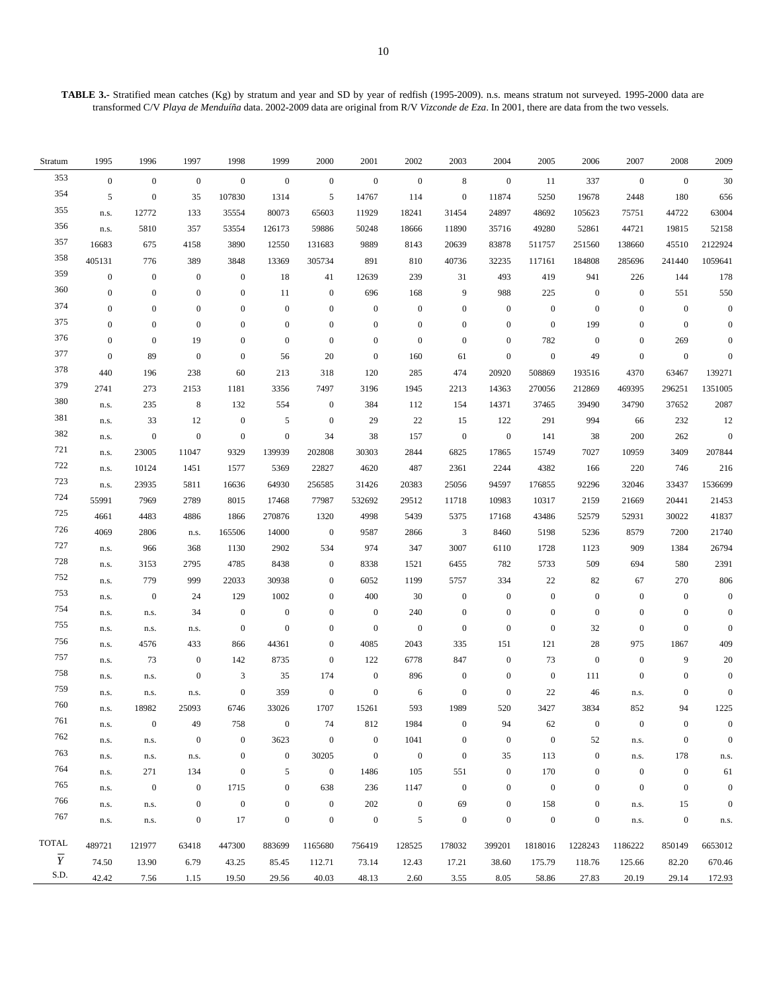| Stratum        | 1995             | 1996             | 1997             | 1998                        | 1999             | 2000             | 2001             | 2002             | 2003             | 2004             | 2005             | 2006             | 2007             | 2008             | 2009             |
|----------------|------------------|------------------|------------------|-----------------------------|------------------|------------------|------------------|------------------|------------------|------------------|------------------|------------------|------------------|------------------|------------------|
| 353            | $\boldsymbol{0}$ | $\mathbf{0}$     | $\mathbf{0}$     | $\boldsymbol{0}$            | $\mathbf{0}$     | $\mathbf{0}$     | $\boldsymbol{0}$ | $\mathbf{0}$     | $\,8\,$          | $\boldsymbol{0}$ | 11               | 337              | $\mathbf{0}$     | $\mathbf{0}$     | 30               |
| 354            | 5                | $\boldsymbol{0}$ | 35               | 107830                      | 1314             | 5                | 14767            | 114              | $\boldsymbol{0}$ | 11874            | 5250             | 19678            | 2448             | 180              | 656              |
| 355            | n.s.             | 12772            | 133              | 35554                       | 80073            | 65603            | 11929            | 18241            | 31454            | 24897            | 48692            | 105623           | 75751            | 44722            | 63004            |
| 356            | n.s.             | 5810             | 357              | 53554                       | 126173           | 59886            | 50248            | 18666            | 11890            | 35716            | 49280            | 52861            | 44721            | 19815            | 52158            |
| 357            | 16683            | 675              | 4158             | 3890                        | 12550            | 131683           | 9889             | 8143             | 20639            | 83878            | 511757           | 251560           | 138660           | 45510            | 2122924          |
| 358            | 405131           | 776              | 389              | 3848                        | 13369            | 305734           | 891              | 810              | 40736            | 32235            | 117161           | 184808           | 285696           | 241440           | 1059641          |
| 359            | $\boldsymbol{0}$ | $\boldsymbol{0}$ | $\boldsymbol{0}$ | $\boldsymbol{0}$            | 18               | 41               | 12639            | 239              | 31               | 493              | 419              | 941              | 226              | 144              | 178              |
| 360            | $\boldsymbol{0}$ | $\boldsymbol{0}$ | $\boldsymbol{0}$ | $\boldsymbol{0}$            | 11               | $\boldsymbol{0}$ | 696              | 168              | 9                | 988              | 225              | $\boldsymbol{0}$ | $\boldsymbol{0}$ | 551              | 550              |
| 374            | $\boldsymbol{0}$ | $\boldsymbol{0}$ | $\boldsymbol{0}$ | $\boldsymbol{0}$            | $\mathbf{0}$     | $\mathbf{0}$     | $\boldsymbol{0}$ | $\mathbf{0}$     | $\boldsymbol{0}$ | $\boldsymbol{0}$ | $\boldsymbol{0}$ | $\boldsymbol{0}$ | $\boldsymbol{0}$ | $\boldsymbol{0}$ | $\boldsymbol{0}$ |
| 375            | $\boldsymbol{0}$ | $\boldsymbol{0}$ | $\boldsymbol{0}$ | $\boldsymbol{0}$            | $\boldsymbol{0}$ | $\mathbf{0}$     | $\boldsymbol{0}$ | $\mathbf{0}$     | $\boldsymbol{0}$ | $\boldsymbol{0}$ | $\mathbf{0}$     | 199              | $\mathbf{0}$     | $\boldsymbol{0}$ | $\boldsymbol{0}$ |
| 376            | $\boldsymbol{0}$ | $\mathbf{0}$     | 19               | $\boldsymbol{0}$            | $\mathbf{0}$     | $\mathbf{0}$     | $\boldsymbol{0}$ | $\mathbf{0}$     | $\bf{0}$         | $\boldsymbol{0}$ | 782              | $\boldsymbol{0}$ | $\mathbf{0}$     | 269              | $\boldsymbol{0}$ |
| 377            | $\boldsymbol{0}$ | 89               | $\boldsymbol{0}$ | $\boldsymbol{0}$            | 56               | 20               | $\boldsymbol{0}$ | 160              | 61               | $\boldsymbol{0}$ | $\mathbf{0}$     | 49               | $\boldsymbol{0}$ | $\boldsymbol{0}$ | $\boldsymbol{0}$ |
| 378            | 440              | 196              | 238              | 60                          | 213              | 318              | 120              | 285              | 474              | 20920            | 508869           | 193516           | 4370             | 63467            | 139271           |
| 379            | 2741             | 273              | 2153             | 1181                        | 3356             | 7497             | 3196             | 1945             | 2213             | 14363            | 270056           | 212869           | 469395           | 296251           | 1351005          |
| 380            | n.s.             | 235              | $\,8\,$          | 132                         | 554              | $\mathbf{0}$     | 384              | 112              | 154              | 14371            | 37465            | 39490            | 34790            | 37652            | 2087             |
| 381            | n.s.             | 33               | 12               | $\boldsymbol{0}$            | 5                | $\boldsymbol{0}$ | 29               | 22               | 15               | 122              | 291              | 994              | 66               | 232              | 12               |
| 382            | n.s.             | $\boldsymbol{0}$ | $\boldsymbol{0}$ | $\boldsymbol{0}$            | $\boldsymbol{0}$ | 34               | 38               | 157              | $\boldsymbol{0}$ | $\boldsymbol{0}$ | 141              | 38               | 200              | 262              | $\boldsymbol{0}$ |
| 721            | n.s.             | 23005            | 11047            | 9329                        | 139939           | 202808           | 30303            | 2844             | 6825             | 17865            | 15749            | 7027             | 10959            | 3409             | 207844           |
| 722            | n.s.             | 10124            | 1451             | 1577                        | 5369             | 22827            | 4620             | 487              | 2361             | 2244             | 4382             | 166              | 220              | 746              | 216              |
| 723            | n.s.             | 23935            | 5811             | 16636                       | 64930            | 256585           | 31426            | 20383            | 25056            | 94597            | 176855           | 92296            | 32046            | 33437            | 1536699          |
| 724            | 55991            | 7969             | 2789             | 8015                        | 17468            | 77987            | 532692           | 29512            | 11718            | 10983            | 10317            | 2159             | 21669            | 20441            | 21453            |
| 725            | 4661             | 4483             | 4886             | 1866                        | 270876           | 1320             | 4998             | 5439             | 5375             | 17168            | 43486            | 52579            | 52931            | 30022            | 41837            |
| 726            | 4069             | 2806             | n.s.             | 165506                      | 14000            | $\overline{0}$   | 9587             | 2866             | $\mathfrak{Z}$   | 8460             | 5198             | 5236             | 8579             | 7200             | 21740            |
| 727            | n.s.             | 966              | 368              | 1130                        | 2902             | 534              | 974              | 347              | 3007             | 6110             | 1728             | 1123             | 909              | 1384             | 26794            |
| 728            | n.s.             | 3153             | 2795             | 4785                        | 8438             | $\boldsymbol{0}$ | 8338             | 1521             | 6455             | 782              | 5733             | 509              | 694              | 580              | 2391             |
| 752            | n.s.             | 779              | 999              | 22033                       | 30938            | $\mathbf{0}$     | 6052             | 1199             | 5757             | 334              | 22               | 82               | 67               | 270              | 806              |
| 753            | n.s.             | $\boldsymbol{0}$ | 24               | 129                         | 1002             | $\bf{0}$         | 400              | 30               | $\boldsymbol{0}$ | $\boldsymbol{0}$ | $\boldsymbol{0}$ | $\boldsymbol{0}$ | $\boldsymbol{0}$ | $\boldsymbol{0}$ | $\boldsymbol{0}$ |
| 754            | n.s.             | n.s.             | 34               | $\boldsymbol{0}$            | $\boldsymbol{0}$ | $\boldsymbol{0}$ | $\boldsymbol{0}$ | 240              | $\boldsymbol{0}$ | $\boldsymbol{0}$ | $\boldsymbol{0}$ | $\boldsymbol{0}$ | $\boldsymbol{0}$ | $\boldsymbol{0}$ | $\boldsymbol{0}$ |
| 755            | n.s.             | n.s.             | n.s.             | $\boldsymbol{0}$            | $\boldsymbol{0}$ | $\mathbf{0}$     | $\boldsymbol{0}$ | $\boldsymbol{0}$ | $\boldsymbol{0}$ | $\boldsymbol{0}$ | $\boldsymbol{0}$ | 32               | $\boldsymbol{0}$ | $\boldsymbol{0}$ | $\boldsymbol{0}$ |
| 756            | n.s.             | 4576             | 433              | 866                         | 44361            | $\mathbf{0}$     | 4085             | 2043             | 335              | 151              | 121              | 28               | 975              | 1867             | 409              |
| 757            | n.s.             | 73               | $\boldsymbol{0}$ | 142                         | 8735             | $\mathbf{0}$     | 122              | 6778             | 847              | $\boldsymbol{0}$ | 73               | $\boldsymbol{0}$ | $\boldsymbol{0}$ | 9                | 20               |
| 758            | n.s.             | n.s.             | $\boldsymbol{0}$ | $\ensuremath{\mathfrak{Z}}$ | 35               | 174              | $\boldsymbol{0}$ | 896              | $\boldsymbol{0}$ | $\boldsymbol{0}$ | $\boldsymbol{0}$ | 111              | $\boldsymbol{0}$ | $\boldsymbol{0}$ | $\boldsymbol{0}$ |
| 759            | n.s.             | n.s.             | n.s.             | $\boldsymbol{0}$            | 359              | $\boldsymbol{0}$ | $\boldsymbol{0}$ | 6                | $\boldsymbol{0}$ | $\boldsymbol{0}$ | 22               | 46               | n.s.             | $\boldsymbol{0}$ | $\boldsymbol{0}$ |
| 760            | n.s.             | 18982            | 25093            | 6746                        | 33026            | 1707             | 15261            | 593              | 1989             | 520              | 3427             | 3834             | 852              | 94               | 1225             |
| 761            | n.s.             | $\mathbf{0}$     | 49               | 758                         | $\boldsymbol{0}$ | 74               | 812              | 1984             | 0                | 94               | 62               | $\boldsymbol{0}$ | $\boldsymbol{0}$ | $\mathbf{0}$     | $\Omega$         |
| 762            | n.s.             | n.s.             | $\boldsymbol{0}$ | $\boldsymbol{0}$            | 3623             | $\boldsymbol{0}$ | $\boldsymbol{0}$ | 1041             | $\boldsymbol{0}$ | $\boldsymbol{0}$ | $\boldsymbol{0}$ | 52               | n.s.             | $\boldsymbol{0}$ | $\mathbf{0}$     |
| 763            | n.s.             | n.s.             | n.s.             | $\boldsymbol{0}$            | $\boldsymbol{0}$ | 30205            | $\boldsymbol{0}$ | $\mathbf{0}$     | $\boldsymbol{0}$ | 35               | 113              | $\boldsymbol{0}$ | n.s.             | 178              | n.s.             |
| 764            | n.s.             | 271              | 134              | $\boldsymbol{0}$            | 5                | $\boldsymbol{0}$ | 1486             | 105              | 551              | $\boldsymbol{0}$ | 170              | $\boldsymbol{0}$ | $\mathbf{0}$     | $\boldsymbol{0}$ | 61               |
| 765            | n.s.             | $\overline{0}$   | $\boldsymbol{0}$ | 1715                        | $\mathbf{0}$     | 638              | 236              | 1147             | $\boldsymbol{0}$ | $\boldsymbol{0}$ | $\boldsymbol{0}$ | $\boldsymbol{0}$ | $\mathbf{0}$     | $\boldsymbol{0}$ | $\overline{0}$   |
| 766            | n.s.             | n.s.             | $\boldsymbol{0}$ | $\boldsymbol{0}$            | $\boldsymbol{0}$ | $\boldsymbol{0}$ | $202\,$          | $\boldsymbol{0}$ | 69               | $\boldsymbol{0}$ | 158              | $\boldsymbol{0}$ | n.s.             | 15               | $\Omega$         |
| 767            | n.s.             | n.s.             | $\boldsymbol{0}$ | $17\,$                      | $\boldsymbol{0}$ | $\boldsymbol{0}$ | $\boldsymbol{0}$ | 5                | $\boldsymbol{0}$ | $\boldsymbol{0}$ | $\boldsymbol{0}$ | $\boldsymbol{0}$ | n.s.             | $\boldsymbol{0}$ | n.s.             |
| <b>TOTAL</b>   | 489721           | 121977           | 63418            | 447300                      | 883699           | 1165680          | 756419           | 128525           | 178032           | 399201           | 1818016          | 1228243          | 1186222          | 850149           | 6653012          |
| $\overline{Y}$ | 74.50            | 13.90            | 6.79             | 43.25                       | 85.45            | 112.71           | 73.14            | 12.43            | 17.21            | 38.60            | 175.79           | 118.76           | 125.66           | 82.20            | 670.46           |
| S.D.           | 42.42            | 7.56             | 1.15             | 19.50                       | 29.56            | 40.03            | 48.13            | 2.60             | 3.55             | 8.05             | 58.86            | 27.83            | 20.19            | 29.14            | 172.93           |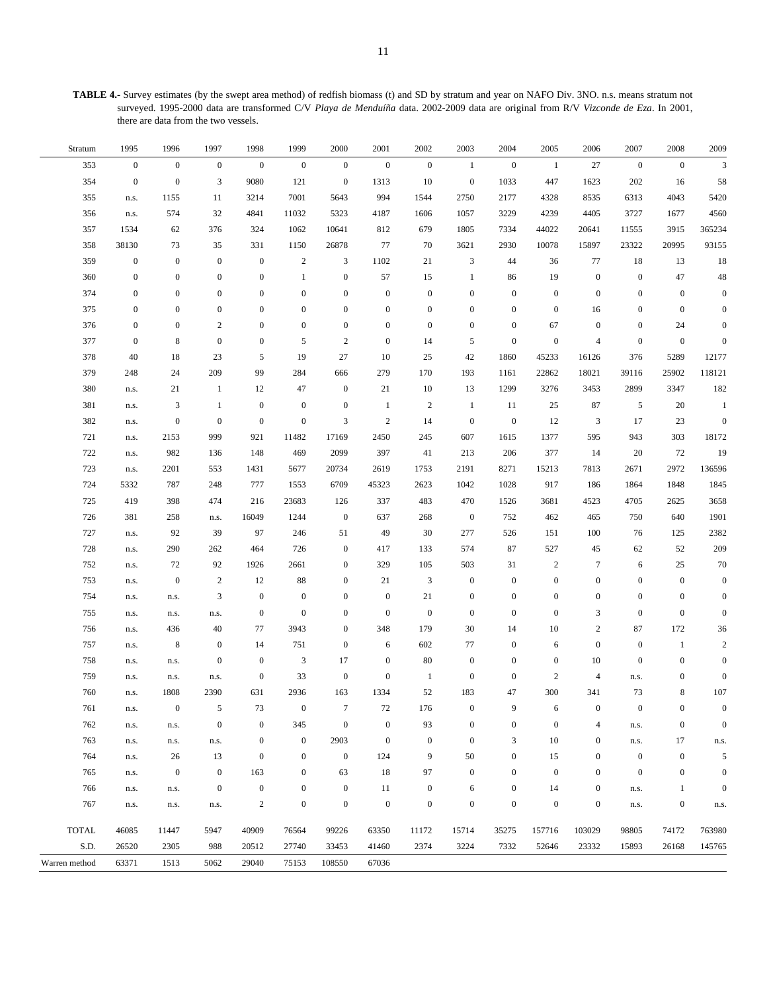**TABLE 4.-** Survey estimates (by the swept area method) of redfish biomass (t) and SD by stratum and year on NAFO Div. 3NO. n.s. means stratum not surveyed. 1995-2000 data are transformed C/V *Playa de Menduíña* data. 2002-2009 data are original from R/V *Vizconde de Eza*. In 2001, there are data from the two vessels.

| Stratum       | 1995             | 1996             | 1997             | 1998             | 1999             | 2000             | 2001             | 2002             | 2003             | 2004             | 2005             | 2006             | 2007             | 2008             | 2009             |
|---------------|------------------|------------------|------------------|------------------|------------------|------------------|------------------|------------------|------------------|------------------|------------------|------------------|------------------|------------------|------------------|
| 353           | $\boldsymbol{0}$ | $\boldsymbol{0}$ | $\mathbf{0}$     | $\boldsymbol{0}$ | $\boldsymbol{0}$ | $\mathbf{0}$     | $\boldsymbol{0}$ | $\boldsymbol{0}$ | -1               | $\boldsymbol{0}$ | $\mathbf{1}$     | 27               | $\boldsymbol{0}$ | $\boldsymbol{0}$ | $\mathfrak{Z}$   |
| 354           | $\boldsymbol{0}$ | $\boldsymbol{0}$ | 3                | 9080             | 121              | $\boldsymbol{0}$ | 1313             | 10               | $\boldsymbol{0}$ | 1033             | 447              | 1623             | 202              | 16               | 58               |
| 355           | n.s.             | 1155             | 11               | 3214             | 7001             | 5643             | 994              | 1544             | 2750             | 2177             | 4328             | 8535             | 6313             | 4043             | 5420             |
| 356           | n.s.             | 574              | 32               | 4841             | 11032            | 5323             | 4187             | 1606             | 1057             | 3229             | 4239             | 4405             | 3727             | 1677             | 4560             |
| 357           | 1534             | 62               | 376              | 324              | 1062             | 10641            | 812              | 679              | 1805             | 7334             | 44022            | 20641            | 11555            | 3915             | 365234           |
| 358           | 38130            | 73               | 35               | 331              | 1150             | 26878            | 77               | 70               | 3621             | 2930             | 10078            | 15897            | 23322            | 20995            | 93155            |
| 359           | $\boldsymbol{0}$ | $\boldsymbol{0}$ | $\boldsymbol{0}$ | $\boldsymbol{0}$ | $\overline{c}$   | 3                | 1102             | 21               | 3                | 44               | 36               | 77               | 18               | 13               | 18               |
| 360           | $\mathbf{0}$     | $\mathbf{0}$     | $\mathbf{0}$     | $\boldsymbol{0}$ | 1                | $\boldsymbol{0}$ | 57               | 15               | -1               | 86               | 19               | $\boldsymbol{0}$ | $\boldsymbol{0}$ | 47               | 48               |
| 374           | $\mathbf{0}$     | $\boldsymbol{0}$ | $\overline{0}$   | $\boldsymbol{0}$ | $\boldsymbol{0}$ | $\boldsymbol{0}$ | $\boldsymbol{0}$ | $\boldsymbol{0}$ | $\mathbf{0}$     | $\boldsymbol{0}$ | $\boldsymbol{0}$ | $\boldsymbol{0}$ | $\boldsymbol{0}$ | $\boldsymbol{0}$ | $\boldsymbol{0}$ |
| 375           | $\mathbf{0}$     | $\boldsymbol{0}$ | $\boldsymbol{0}$ | $\boldsymbol{0}$ | $\boldsymbol{0}$ | $\boldsymbol{0}$ | $\boldsymbol{0}$ | $\boldsymbol{0}$ | $\mathbf{0}$     | $\boldsymbol{0}$ | $\boldsymbol{0}$ | 16               | $\boldsymbol{0}$ | $\bf{0}$         | $\boldsymbol{0}$ |
| 376           | $\mathbf{0}$     | $\boldsymbol{0}$ | $\sqrt{2}$       | $\boldsymbol{0}$ | $\boldsymbol{0}$ | $\boldsymbol{0}$ | $\mathbf{0}$     | $\boldsymbol{0}$ | $\mathbf{0}$     | $\boldsymbol{0}$ | 67               | $\boldsymbol{0}$ | $\boldsymbol{0}$ | 24               | $\boldsymbol{0}$ |
| 377           | $\mathbf{0}$     | 8                | $\boldsymbol{0}$ | $\bf{0}$         | 5                | 2                | $\bf{0}$         | 14               | 5                | $\boldsymbol{0}$ | $\boldsymbol{0}$ | $\overline{4}$   | $\boldsymbol{0}$ | $\boldsymbol{0}$ | $\boldsymbol{0}$ |
| 378           | 40               | 18               | 23               | 5                | 19               | 27               | 10               | 25               | 42               | 1860             | 45233            | 16126            | 376              | 5289             | 12177            |
| 379           | 248              | 24               | 209              | 99               | 284              | 666              | 279              | 170              | 193              | 1161             | 22862            | 18021            | 39116            | 25902            | 118121           |
| 380           | n.s.             | 21               | $\mathbf{1}$     | 12               | 47               | $\boldsymbol{0}$ | 21               | 10               | 13               | 1299             | 3276             | 3453             | 2899             | 3347             | 182              |
| 381           | n.s.             | 3                | 1                | $\boldsymbol{0}$ | $\boldsymbol{0}$ | $\boldsymbol{0}$ | $\mathbf{1}$     | $\overline{c}$   | 1                | 11               | 25               | 87               | 5                | 20               | 1                |
| 382           | n.s.             | $\boldsymbol{0}$ | $\mathbf{0}$     | $\boldsymbol{0}$ | $\boldsymbol{0}$ | $\mathfrak{Z}$   | $\sqrt{2}$       | 14               | $\boldsymbol{0}$ | $\boldsymbol{0}$ | 12               | 3                | 17               | 23               | $\mathbf{0}$     |
| 721           | n.s.             | 2153             | 999              | 921              | 11482            | 17169            | 2450             | 245              | 607              | 1615             | 1377             | 595              | 943              | 303              | 18172            |
| 722           | n.s.             | 982              | 136              | 148              | 469              | 2099             | 397              | 41               | 213              | 206              | 377              | 14               | 20               | 72               | 19               |
| 723           | n.s.             | 2201             | 553              | 1431             | 5677             | 20734            | 2619             | 1753             | 2191             | 8271             | 15213            | 7813             | 2671             | 2972             | 136596           |
| 724           | 5332             | 787              | 248              | 777              | 1553             | 6709             | 45323            | 2623             | 1042             | 1028             | 917              | 186              | 1864             | 1848             | 1845             |
| 725           | 419              | 398              | 474              | 216              | 23683            | 126              | 337              | 483              | 470              | 1526             | 3681             | 4523             | 4705             | 2625             | 3658             |
| 726           | 381              | 258              | n.s.             | 16049            | 1244             | $\boldsymbol{0}$ | 637              | 268              | $\boldsymbol{0}$ | 752              | 462              | 465              | 750              | 640              | 1901             |
| 727           | n.s.             | 92               | 39               | 97               | 246              | 51               | 49               | 30               | 277              | 526              | 151              | 100              | 76               | 125              | 2382             |
| 728           | n.s.             | 290              | 262              | 464              | 726              | $\boldsymbol{0}$ | 417              | 133              | 574              | 87               | 527              | 45               | 62               | 52               | 209              |
| 752           | n.s.             | 72               | 92               | 1926             | 2661             | $\boldsymbol{0}$ | 329              | 105              | 503              | 31               | $\boldsymbol{2}$ | $\overline{7}$   | 6                | 25               | 70               |
| 753           | n.s.             | $\boldsymbol{0}$ | $\mathbf{2}$     | 12               | $88\,$           | $\boldsymbol{0}$ | 21               | 3                | $\mathbf{0}$     | $\boldsymbol{0}$ | $\boldsymbol{0}$ | $\boldsymbol{0}$ | $\boldsymbol{0}$ | $\boldsymbol{0}$ | $\boldsymbol{0}$ |
| 754           | n.s.             | n.s.             | 3                | $\boldsymbol{0}$ | $\boldsymbol{0}$ | $\boldsymbol{0}$ | $\boldsymbol{0}$ | 21               | $\boldsymbol{0}$ | $\mathbf{0}$     | $\boldsymbol{0}$ | $\boldsymbol{0}$ | $\boldsymbol{0}$ | $\boldsymbol{0}$ | $\boldsymbol{0}$ |
| 755           | n.s.             | n.s.             | n.s.             | $\boldsymbol{0}$ | $\boldsymbol{0}$ | $\boldsymbol{0}$ | $\boldsymbol{0}$ | $\boldsymbol{0}$ | $\mathbf{0}$     | $\boldsymbol{0}$ | $\boldsymbol{0}$ | 3                | $\boldsymbol{0}$ | $\boldsymbol{0}$ | $\boldsymbol{0}$ |
| 756           | n.s.             | 436              | 40               | 77               | 3943             | $\mathbf{0}$     | 348              | 179              | 30               | 14               | 10               | $\boldsymbol{2}$ | 87               | 172              | 36               |
| 757           | n.s.             | 8                | $\boldsymbol{0}$ | 14               | 751              | $\boldsymbol{0}$ | 6                | 602              | 77               | $\boldsymbol{0}$ | 6                | $\mathbf{0}$     | $\boldsymbol{0}$ | -1               | $\sqrt{2}$       |
| 758           | n.s.             | n.s.             | $\mathbf{0}$     | $\boldsymbol{0}$ | 3                | 17               | $\boldsymbol{0}$ | 80               | $\boldsymbol{0}$ | $\mathbf{0}$     | $\boldsymbol{0}$ | 10               | $\boldsymbol{0}$ | $\boldsymbol{0}$ | $\mathbf{0}$     |
| 759           | n.s.             | n.s.             | n.s.             | $\boldsymbol{0}$ | 33               | $\boldsymbol{0}$ | $\boldsymbol{0}$ | 1                | $\boldsymbol{0}$ | $\boldsymbol{0}$ | $\sqrt{2}$       | $\overline{4}$   | n.s.             | $\boldsymbol{0}$ | $\mathbf{0}$     |
| 760           | n.s.             | 1808             | 2390             | 631              | 2936             | 163              | 1334             | 52               | 183              | 47               | 300              | 341              | 73               | 8                | 107              |
| 761           | n.s.             | 0                | 5                | 73               | $\boldsymbol{0}$ | $\overline{7}$   | $72\,$           | 176              | 0                | 9                | 6                | 0                | $\boldsymbol{0}$ | $\mathbf{0}$     |                  |
| 762           | n.s.             | n.s.             | $\mathbf{0}$     | $\boldsymbol{0}$ | 345              | $\boldsymbol{0}$ | $\boldsymbol{0}$ | 93               | $\Omega$         | $\mathbf{0}$     | $\boldsymbol{0}$ | 4                | n.s.             | $\mathbf{0}$     | $\Omega$         |
| 763           | n.s.             | n.s.             | n.s.             | $\boldsymbol{0}$ | $\boldsymbol{0}$ | 2903             | $\boldsymbol{0}$ | $\boldsymbol{0}$ | $\boldsymbol{0}$ | 3                | 10               | $\mathbf{0}$     | n.s.             | 17               | n.s.             |
| 764           | n.s.             | 26               | 13               | $\boldsymbol{0}$ | $\boldsymbol{0}$ | $\mathbf{0}$     | 124              | 9                | 50               | $\mathbf{0}$     | 15               | $\mathbf{0}$     | $\boldsymbol{0}$ | $\boldsymbol{0}$ | 5                |
| 765           | n.s.             | $\mathbf{0}$     | $\boldsymbol{0}$ | 163              | $\boldsymbol{0}$ | 63               | 18               | 97               | $\boldsymbol{0}$ | $\boldsymbol{0}$ | $\boldsymbol{0}$ | $\mathbf{0}$     | $\mathbf{0}$     | $\boldsymbol{0}$ | $\mathbf{0}$     |
| 766           | n.s.             | n.s.             | $\mathbf{0}$     | $\boldsymbol{0}$ | $\boldsymbol{0}$ | $\boldsymbol{0}$ | 11               | $\boldsymbol{0}$ | 6                | $\mathbf{0}$     | 14               | $\boldsymbol{0}$ | n.s.             | $\mathbf{1}$     | $\Omega$         |
| 767           | n.s.             | n.s.             | n.s.             | $\sqrt{2}$       | $\boldsymbol{0}$ | $\boldsymbol{0}$ | $\boldsymbol{0}$ | $\boldsymbol{0}$ | $\boldsymbol{0}$ | $\boldsymbol{0}$ | $\boldsymbol{0}$ | $\boldsymbol{0}$ | n.s.             | $\boldsymbol{0}$ | n.s.             |
| <b>TOTAL</b>  | 46085            | 11447            | 5947             | 40909            | 76564            | 99226            | 63350            | 11172            | 15714            | 35275            | 157716           | 103029           | 98805            | 74172            | 763980           |
| S.D.          | 26520            | 2305             | 988              | 20512            | 27740            | 33453            | 41460            | 2374             | 3224             | 7332             | 52646            | 23332            | 15893            | 26168            | 145765           |
| Warren method | 63371            | 1513             | 5062             | 29040            | 75153            | 108550           | 67036            |                  |                  |                  |                  |                  |                  |                  |                  |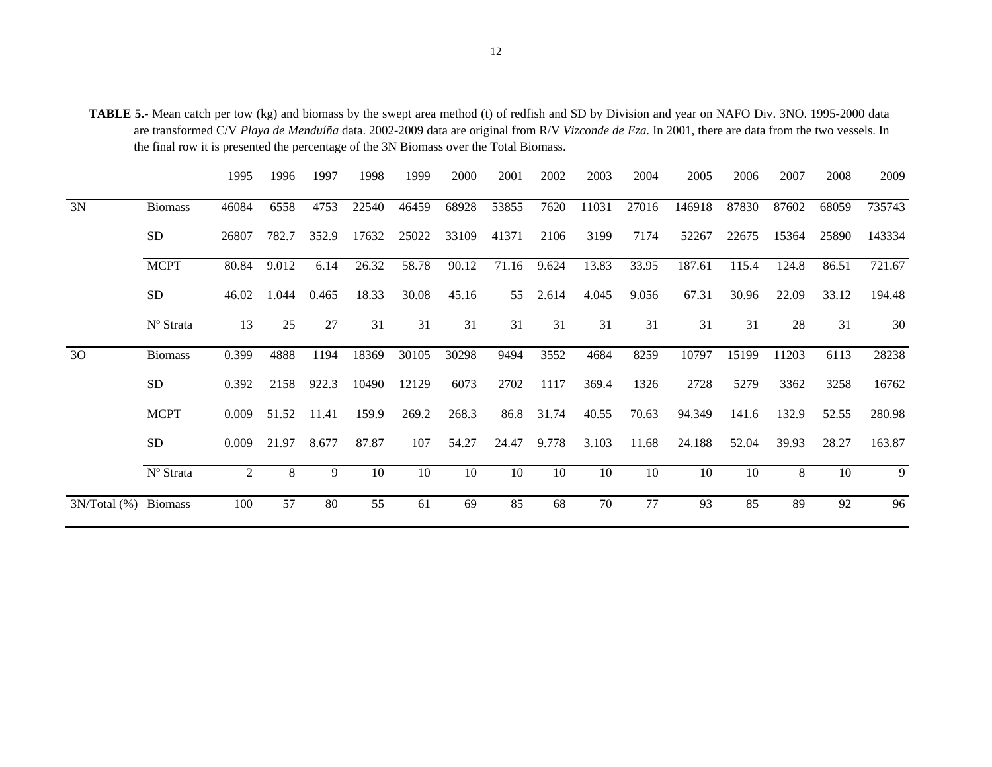**TABLE 5.-** Mean catch per tow (kg) and biomass by the swept area method (t) of redfish and SD by Division and year on NAFO Div. 3NO. 1995-2000 data are transformed C/V *Playa de Menduíña* data. 2002-2009 data are original from R/V *Vizconde de Eza*. In 2001, there are data from the two vessels. In the final row it is presented the percentage of the 3N Biomass over the Total Biomass.

|                      |                | 1995  | 1996        | 1997  | 1998  | 1999  | 2000  | 2001  | 2002     | 2003  | 2004  | 2005   | 2006  | 2007  | 2008  | 2009   |
|----------------------|----------------|-------|-------------|-------|-------|-------|-------|-------|----------|-------|-------|--------|-------|-------|-------|--------|
| 3N                   | <b>Biomass</b> | 46084 | 6558        | 4753  | 22540 | 46459 | 68928 | 53855 | 7620     | 11031 | 27016 | 146918 | 87830 | 87602 | 68059 | 735743 |
|                      | <b>SD</b>      | 26807 | 782.7       | 352.9 | 17632 | 25022 | 33109 | 41371 | 2106     | 3199  | 7174  | 52267  | 22675 | 15364 | 25890 | 143334 |
|                      | <b>MCPT</b>    | 80.84 | 9.012       | 6.14  | 26.32 | 58.78 | 90.12 | 71.16 | 9.624    | 13.83 | 33.95 | 187.61 | 115.4 | 124.8 | 86.51 | 721.67 |
|                      | <b>SD</b>      | 46.02 | 1.044       | 0.465 | 18.33 | 30.08 | 45.16 |       | 55 2.614 | 4.045 | 9.056 | 67.31  | 30.96 | 22.09 | 33.12 | 194.48 |
|                      | Nº Strata      | 13    | 25          | 27    | 31    | 31    | 31    | 31    | 31       | 31    | 31    | 31     | 31    | 28    | 31    | 30     |
| 30                   | <b>Biomass</b> | 0.399 | 4888        | 1194  | 18369 | 30105 | 30298 | 9494  | 3552     | 4684  | 8259  | 10797  | 15199 | 11203 | 6113  | 28238  |
|                      | <b>SD</b>      | 0.392 | 2158        | 922.3 | 10490 | 12129 | 6073  | 2702  | 1117     | 369.4 | 1326  | 2728   | 5279  | 3362  | 3258  | 16762  |
|                      | <b>MCPT</b>    | 0.009 | 51.52       | 11.41 | 159.9 | 269.2 | 268.3 | 86.8  | 31.74    | 40.55 | 70.63 | 94.349 | 141.6 | 132.9 | 52.55 | 280.98 |
|                      | <b>SD</b>      | 0.009 | 21.97 8.677 |       | 87.87 | 107   | 54.27 | 24.47 | 9.778    | 3.103 | 11.68 | 24.188 | 52.04 | 39.93 | 28.27 | 163.87 |
|                      | Nº Strata      | 2     | 8           | 9     | 10    | 10    | 10    | 10    | 10       | 10    | 10    | 10     | 10    | 8     | 10    | 9      |
| 3N/Total (%) Biomass |                | 100   | 57          | 80    | 55    | 61    | 69    | 85    | 68       | 70    | 77    | 93     | 85    | 89    | 92    | 96     |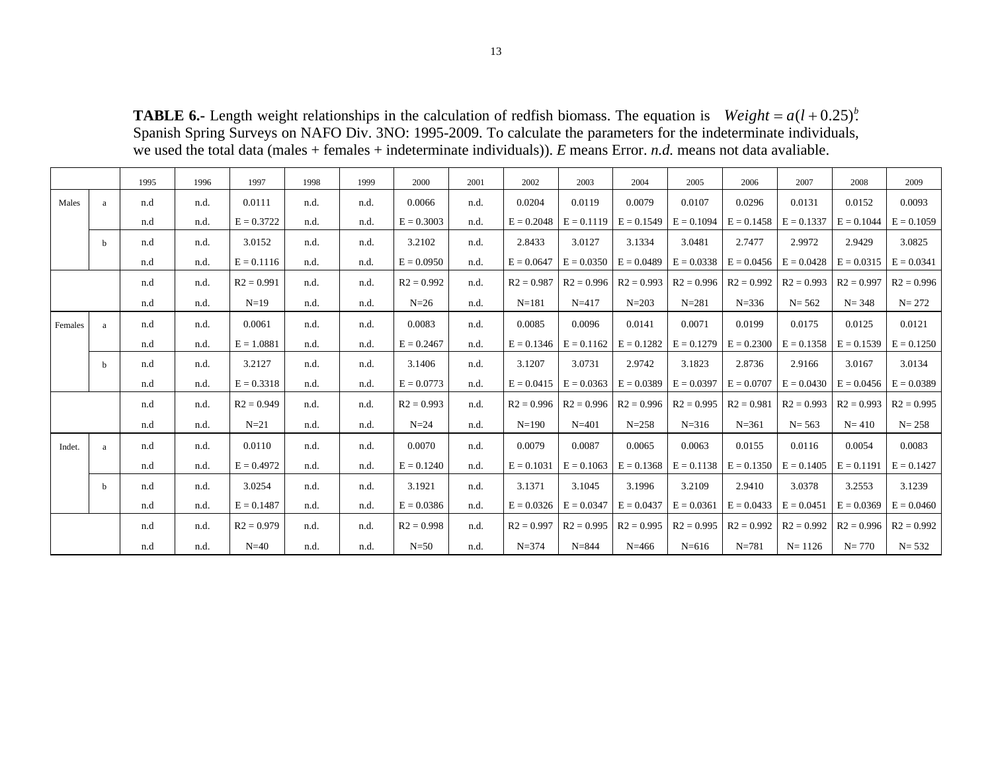**TABLE 6.-** Length weight relationships in the calculation of redfish biomass. The equation is Weight =  $a(l + 0.25)^b$ . Spanish Spring Surveys on NAFO Div. 3NO: 1995-2009. To calculate the parameters for the indeterminate individuals, we used the total data (males + females + indeterminate individuals)). *E* means Error. *n.d.* means not data avaliable.

|         |   | 1995 | 1996 | 1997         | 1998 | 1999 | 2000         | 2001 | 2002         | 2003         | 2004         | 2005         | 2006         | 2007         | 2008         | 2009         |
|---------|---|------|------|--------------|------|------|--------------|------|--------------|--------------|--------------|--------------|--------------|--------------|--------------|--------------|
| Males   | a | n.d  | n.d. | 0.0111       | n.d. | n.d. | 0.0066       | n.d. | 0.0204       | 0.0119       | 0.0079       | 0.0107       | 0.0296       | 0.0131       | 0.0152       | 0.0093       |
|         |   | n.d  | n.d. | $E = 0.3722$ | n.d. | n.d. | $E = 0.3003$ | n.d. | $E = 0.2048$ | $E = 0.1119$ | $E = 0.1549$ | $E = 0.1094$ | $E = 0.1458$ | $E = 0.1337$ | $E = 0.1044$ | $E = 0.1059$ |
|         | h | n.d  | n.d. | 3.0152       | n.d. | n.d. | 3.2102       | n.d. | 2.8433       | 3.0127       | 3.1334       | 3.0481       | 2.7477       | 2.9972       | 2.9429       | 3.0825       |
|         |   | n.d  | n.d. | $E = 0.1116$ | n.d. | n.d. | $E = 0.0950$ | n.d. | $E = 0.0647$ | $E = 0.0350$ | $E = 0.0489$ | $E = 0.0338$ | $E = 0.0456$ | $E = 0.0428$ | $E = 0.0315$ | $E = 0.0341$ |
|         |   | n.d  | n.d. | $R2 = 0.991$ | n.d. | n.d. | $R2 = 0.992$ | n.d. | $R2 = 0.987$ | $R2 = 0.996$ | $R2 = 0.993$ | $R2 = 0.996$ | $R2 = 0.992$ | $R2 = 0.993$ | $R2 = 0.997$ | $R2 = 0.996$ |
|         |   | n.d  | n.d. | $N=19$       | n.d. | n.d. | $N=26$       | n.d. | $N = 181$    | $N = 417$    | $N = 203$    | $N = 281$    | $N = 336$    | $N = 562$    | $N = 348$    | $N = 272$    |
| Females |   | n.d  | n.d. | 0.0061       | n.d. | n.d. | 0.0083       | n.d. | 0.0085       | 0.0096       | 0.0141       | 0.0071       | 0.0199       | 0.0175       | 0.0125       | 0.0121       |
|         |   | n.d  | n.d. | $E = 1.0881$ | n.d. | n.d. | $E = 0.2467$ | n.d. | $E = 0.1346$ | $E = 0.1162$ | $E = 0.1282$ | $E = 0.1279$ | $E = 0.2300$ | $E = 0.1358$ | $E = 0.1539$ | $E = 0.1250$ |
|         | h | n.d  | n.d. | 3.2127       | n.d. | n.d. | 3.1406       | n.d. | 3.1207       | 3.0731       | 2.9742       | 3.1823       | 2.8736       | 2.9166       | 3.0167       | 3.0134       |
|         |   | n.d  | n.d. | $E = 0.3318$ | n.d. | n.d. | $E = 0.0773$ | n.d. | $E = 0.0415$ | $E = 0.0363$ | $E = 0.0389$ | $E = 0.0397$ | $E = 0.0707$ | $E = 0.0430$ | $E = 0.0456$ | $E = 0.0389$ |
|         |   | n.d  | n.d. | $R2 = 0.949$ | n.d. | n.d. | $R2 = 0.993$ | n.d. | $R2 = 0.996$ | $R2 = 0.996$ | $R2 = 0.996$ | $R2 = 0.995$ | $R2 = 0.981$ | $R2 = 0.993$ | $R2 = 0.993$ | $R2 = 0.995$ |
|         |   | n.d  | n.d. | $N=21$       | n.d. | n.d. | $N=24$       | n.d. | $N=190$      | $N = 401$    | $N = 258$    | $N = 316$    | $N = 361$    | $N = 563$    | $N = 410$    | $N = 258$    |
| Indet.  |   | n.d  | n.d. | 0.0110       | n.d. | n.d. | 0.0070       | n.d. | 0.0079       | 0.0087       | 0.0065       | 0.0063       | 0.0155       | 0.0116       | 0.0054       | 0.0083       |
|         |   | n.d  | n.d. | $E = 0.4972$ | n.d. | n.d. | $E = 0.1240$ | n.d. | $E = 0.1031$ | $E = 0.1063$ | $E = 0.1368$ | $E = 0.1138$ | $E = 0.1350$ | $E = 0.1405$ | $E = 0.1191$ | $E = 0.1427$ |
|         | b | n.d  | n.d. | 3.0254       | n.d. | n.d. | 3.1921       | n.d. | 3.1371       | 3.1045       | 3.1996       | 3.2109       | 2.9410       | 3.0378       | 3.2553       | 3.1239       |
|         |   | n.d  | n.d. | $E = 0.1487$ | n.d. | n.d. | $E = 0.0386$ | n.d. | $E = 0.0326$ | $E = 0.0347$ | $E = 0.0437$ | $E = 0.0361$ | $E = 0.0433$ | $E = 0.0451$ | $E = 0.0369$ | $E = 0.0460$ |
|         |   | n.d  | n.d. | $R2 = 0.979$ | n.d. | n.d. | $R2 = 0.998$ | n.d. | $R2 = 0.997$ | $R2 = 0.995$ | $R2 = 0.995$ | $R2 = 0.995$ | $R2 = 0.992$ | $R2 = 0.992$ | $R2 = 0.996$ | $R2 = 0.992$ |
|         |   | n.d  | n.d. | $N=40$       | n.d. | n.d. | $N=50$       | n.d. | $N = 374$    | $N = 844$    | $N = 466$    | $N = 616$    | $N = 781$    | $N = 1126$   | $N = 770$    | $N = 532$    |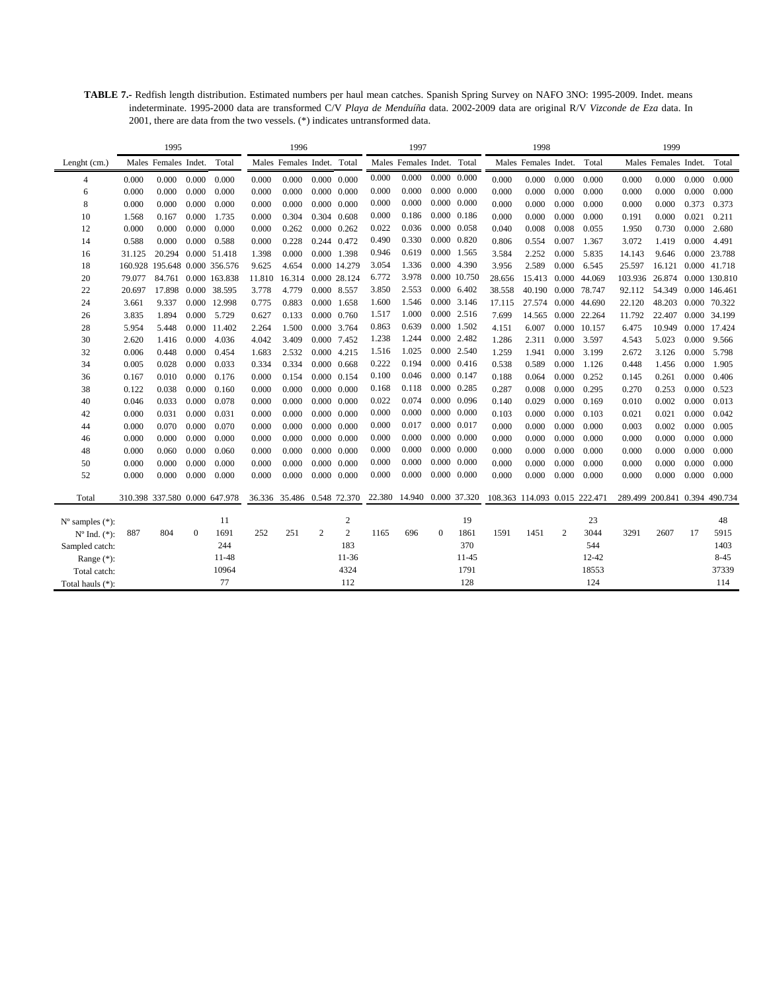**TABLE 7.-** Redfish length distribution. Estimated numbers per haul mean catches. Spanish Spring Survey on NAFO 3NO: 1995-2009. Indet. means indeterminate. 1995-2000 data are transformed C/V *Playa de Menduíña* data. 2002-2009 data are original R/V *Vizconde de Eza* data. In 2001, there are data from the two vessels. (\*) indicates untransformed data.

|                             |         | 1995                 |              |                               |        | 1996                       |                     |                     |       | 1997                       |                     |                     |                               | 1998                 |                |              |                               | 1999                 |       |               |
|-----------------------------|---------|----------------------|--------------|-------------------------------|--------|----------------------------|---------------------|---------------------|-------|----------------------------|---------------------|---------------------|-------------------------------|----------------------|----------------|--------------|-------------------------------|----------------------|-------|---------------|
| Lenght (cm.)                |         | Males Females Indet. |              | Total                         |        | Males Females Indet. Total |                     |                     |       | Males Females Indet. Total |                     |                     |                               | Males Females Indet. |                | Total        |                               | Males Females Indet. |       | Total         |
| 4                           | 0.000   | 0.000                | 0.000        | 0.000                         | 0.000  | 0.000                      |                     | $0.000 \quad 0.000$ | 0.000 | 0.000                      | $0.000 \quad 0.000$ |                     | 0.000                         | 0.000                | 0.000          | 0.000        | 0.000                         | 0.000                | 0.000 | 0.000         |
| 6                           | 0.000   | 0.000                | 0.000        | 0.000                         | 0.000  | 0.000                      | $0.000 \quad 0.000$ |                     | 0.000 | 0.000                      | $0.000 \quad 0.000$ |                     | 0.000                         | 0.000                | 0.000          | 0.000        | 0.000                         | 0.000                | 0.000 | 0.000         |
| 8                           | 0.000   | 0.000                | 0.000        | 0.000                         | 0.000  | 0.000                      | $0.000 \quad 0.000$ |                     | 0.000 | 0.000                      | $0.000 \quad 0.000$ |                     | 0.000                         | 0.000                | 0.000          | 0.000        | 0.000                         | 0.000                | 0.373 | 0.373         |
| 10                          | 1.568   | 0.167                | 0.000        | 1.735                         | 0.000  | 0.304                      |                     | 0.304 0.608         | 0.000 | 0.186                      | $0.000 \quad 0.186$ |                     | 0.000                         | 0.000                | 0.000          | 0.000        | 0.191                         | 0.000                | 0.021 | 0.211         |
| 12                          | 0.000   | 0.000                | 0.000        | 0.000                         | 0.000  | 0.262                      |                     | $0.000 \quad 0.262$ | 0.022 | 0.036                      | 0.000 0.058         |                     | 0.040                         | 0.008                | 0.008          | 0.055        | 1.950                         | 0.730                | 0.000 | 2.680         |
| 14                          | 0.588   | 0.000                | 0.000        | 0.588                         | 0.000  | 0.228                      |                     | 0.244 0.472         | 0.490 | 0.330                      | $0.000 \quad 0.820$ |                     | 0.806                         | 0.554                | 0.007          | 1.367        | 3.072                         | 1.419                | 0.000 | 4.491         |
| 16                          | 31.125  |                      |              | 20.294 0.000 51.418           | 1.398  | 0.000                      |                     | 0.000 1.398         | 0.946 | 0.619                      | 0.000 1.565         |                     | 3.584                         | 2.252                | 0.000          | 5.835        | 14.143                        | 9.646                |       | 0.000 23.788  |
| 18                          | 160.928 |                      |              | 195.648 0.000 356.576         | 9.625  | 4.654                      |                     | 0.000 14.279        | 3.054 | 1.336                      | 0.000 4.390         |                     | 3.956                         | 2.589                | 0.000          | 6.545        | 25.597                        | 16.121               |       | 0.000 41.718  |
| 20                          | 79.077  | 84.761               |              | 0.000 163.838                 | 11.810 | 16.314                     |                     | 0.000 28.124        | 6.772 | 3.978                      |                     | 0.000 10.750        | 28.656                        | 15.413               |                | 0.000 44.069 | 103.936                       | 26.874               |       | 0.000 130.810 |
| 22                          | 20.697  | 17.898               |              | 0.000 38.595                  | 3.778  | 4.779                      | 0.000 8.557         |                     | 3.850 | 2.553                      | $0.000 \quad 6.402$ |                     | 38.558                        | 40.190               |                | 0.000 78.747 | 92.112                        | 54.349               |       | 0.000 146.461 |
| 24                          | 3.661   | 9.337                |              | 0.000 12.998                  | 0.775  | 0.883                      |                     | 0.000 1.658         | 1.600 | 1.546                      | 0.000 3.146         |                     | 17.115                        | 27.574               |                | 0.000 44.690 | 22.120                        | 48.203               |       | 0.000 70.322  |
| 26                          | 3.835   | 1.894                | 0.000        | 5.729                         | 0.627  | 0.133                      |                     | 0.000 0.760         | 1.517 | 1.000                      | 0.000 2.516         |                     | 7.699                         | 14.565               |                | 0.000 22.264 | 11.792                        | 22.407               |       | 0.000 34.199  |
| 28                          | 5.954   | 5.448                |              | 0.000 11.402                  | 2.264  | 1.500                      |                     | 0.000 3.764         | 0.863 | 0.639                      | 0.000               | 1.502               | 4.151                         | 6.007                | 0.000          | 10.157       | 6.475                         | 10.949               | 0.000 | 17.424        |
| 30                          | 2.620   | 1.416                | 0.000        | 4.036                         | 4.042  | 3.409                      |                     | 0.000 7.452         | 1.238 | 1.244                      | 0.000 2.482         |                     | 1.286                         | 2.311                | 0.000          | 3.597        | 4.543                         | 5.023                | 0.000 | 9.566         |
| 32                          | 0.006   | 0.448                | 0.000        | 0.454                         | 1.683  | 2.532                      |                     | 0.000 4.215         | 1.516 | 1.025                      |                     | 0.000 2.540         | 1.259                         | 1.941                | 0.000          | 3.199        | 2.672                         | 3.126                | 0.000 | 5.798         |
| 34                          | 0.005   | 0.028                | 0.000        | 0.033                         | 0.334  | 0.334                      |                     | $0.000 \quad 0.668$ | 0.222 | 0.194                      |                     | $0.000 \quad 0.416$ | 0.538                         | 0.589                | 0.000          | 1.126        | 0.448                         | 1.456                | 0.000 | 1.905         |
| 36                          | 0.167   | 0.010                | 0.000        | 0.176                         | 0.000  | 0.154                      |                     | 0.000 0.154         | 0.100 | 0.046                      | $0.000 \quad 0.147$ |                     | 0.188                         | 0.064                | 0.000          | 0.252        | 0.145                         | 0.261                | 0.000 | 0.406         |
| 38                          | 0.122   | 0.038                | 0.000        | 0.160                         | 0.000  | 0.000                      |                     | $0.000 \quad 0.000$ | 0.168 | 0.118                      | $0.000 \quad 0.285$ |                     | 0.287                         | 0.008                | 0.000          | 0.295        | 0.270                         | 0.253                | 0.000 | 0.523         |
| 40                          | 0.046   | 0.033                | 0.000        | 0.078                         | 0.000  | 0.000                      |                     | $0.000 \quad 0.000$ | 0.022 | 0.074                      | $0.000 \quad 0.096$ |                     | 0.140                         | 0.029                | 0.000          | 0.169        | 0.010                         | 0.002                | 0.000 | 0.013         |
| 42                          | 0.000   | 0.031                | 0.000        | 0.031                         | 0.000  | 0.000                      |                     | $0.000 \quad 0.000$ | 0.000 | 0.000                      | $0.000 \quad 0.000$ |                     | 0.103                         | 0.000                | 0.000          | 0.103        | 0.021                         | 0.021                | 0.000 | 0.042         |
| 44                          | 0.000   | 0.070                | 0.000        | 0.070                         | 0.000  | 0.000                      |                     | $0.000 \quad 0.000$ | 0.000 | 0.017                      | 0.000 0.017         |                     | 0.000                         | 0.000                | 0.000          | 0.000        | 0.003                         | 0.002                | 0.000 | 0.005         |
| 46                          | 0.000   | 0.000                | 0.000        | 0.000                         | 0.000  | 0.000                      |                     | $0.000 \quad 0.000$ | 0.000 | 0.000                      | $0.000 \quad 0.000$ |                     | 0.000                         | 0.000                | 0.000          | 0.000        | 0.000                         | 0.000                | 0.000 | 0.000         |
| 48                          | 0.000   | 0.060                | 0.000        | 0.060                         | 0.000  | 0.000                      | $0.000 \quad 0.000$ |                     | 0.000 | 0.000                      | $0.000 \quad 0.000$ |                     | 0.000                         | 0.000                | 0.000          | 0.000        | 0.000                         | 0.000                | 0.000 | 0.000         |
| 50                          | 0.000   | 0.000                | 0.000        | 0.000                         | 0.000  | 0.000                      | $0.000 \quad 0.000$ |                     | 0.000 | 0.000                      | $0.000 \quad 0.000$ |                     | 0.000                         | 0.000                | 0.000          | 0.000        | 0.000                         | 0.000                | 0.000 | 0.000         |
| 52                          | 0.000   | 0.000                | 0.000        | 0.000                         | 0.000  | 0.000                      |                     | $0.000 \quad 0.000$ | 0.000 | 0.000                      | $0.000 \quad 0.000$ |                     | 0.000                         | 0.000                | 0.000          | 0.000        | 0.000                         | 0.000                | 0.000 | 0.000         |
| Total                       |         |                      |              | 310.398 337.580 0.000 647.978 |        | 36.336 35.486 0.548 72.370 |                     |                     |       | 22.380 14.940 0.000 37.320 |                     |                     | 108.363 114.093 0.015 222.471 |                      |                |              | 289.499 200.841 0.394 490.734 |                      |       |               |
| $N^{\circ}$ samples $(*)$ : |         |                      |              | 11                            |        |                            |                     | $\boldsymbol{2}$    |       |                            |                     | 19                  |                               |                      |                | 23           |                               |                      |       | 48            |
| $N^{\circ}$ Ind. $(*)$ :    | 887     | 804                  | $\mathbf{0}$ | 1691                          | 252    | 251                        | $\mathfrak{2}$      | $\overline{c}$      | 1165  | 696                        | $\mathbf{0}$        | 1861                | 1591                          | 1451                 | $\overline{2}$ | 3044         | 3291                          | 2607                 | 17    | 5915          |
| Sampled catch:              |         |                      |              | 244                           |        |                            |                     | 183                 |       |                            |                     | 370                 |                               |                      |                | 544          |                               |                      |       | 1403          |
| Range $(*)$ :               |         |                      |              | 11-48                         |        |                            |                     | $11-36$             |       |                            |                     | $11 - 45$           |                               |                      |                | 12-42        |                               |                      |       | $8 - 45$      |
| Total catch:                |         |                      |              | 10964                         |        |                            |                     | 4324                |       |                            |                     | 1791                |                               |                      |                | 18553        |                               |                      |       | 37339         |
| Total hauls (*):            |         |                      |              | 77                            |        |                            |                     | 112                 |       |                            |                     | 128                 |                               |                      |                | 124          |                               |                      |       | 114           |
|                             |         |                      |              |                               |        |                            |                     |                     |       |                            |                     |                     |                               |                      |                |              |                               |                      |       |               |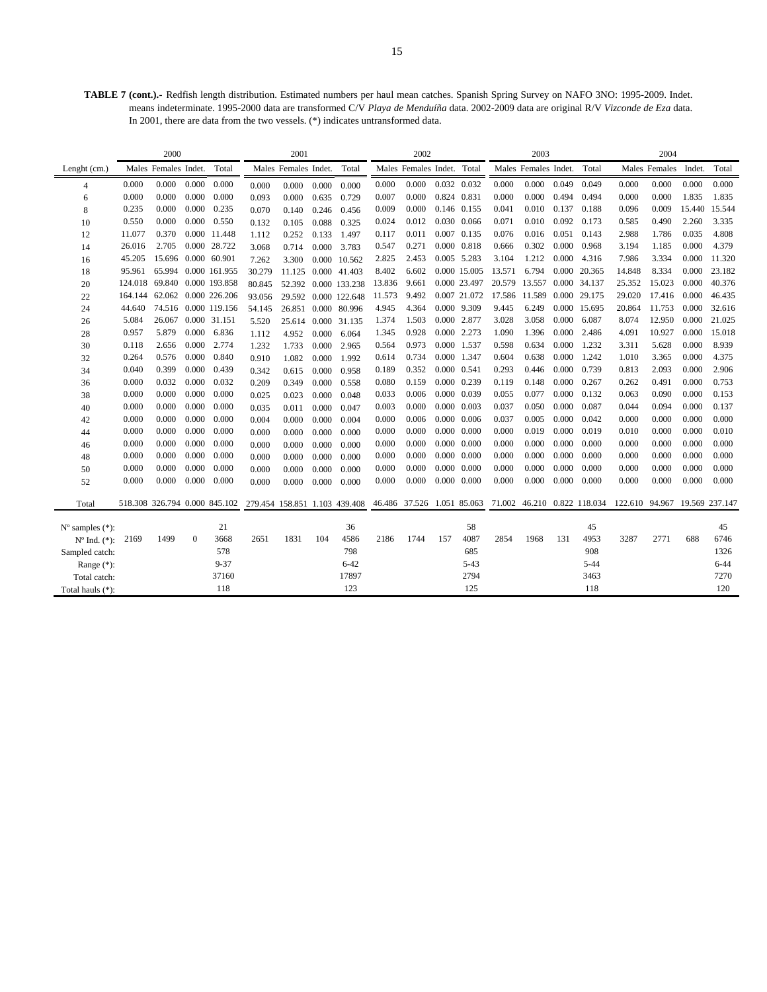**TABLE 7 (cont.).-** Redfish length distribution. Estimated numbers per haul mean catches. Spanish Spring Survey on NAFO 3NO: 1995-2009. Indet. means indeterminate. 1995-2000 data are transformed C/V *Playa de Menduíña* data. 2002-2009 data are original R/V *Vizconde de Eza* data. In 2001, there are data from the two vessels. (\*) indicates untransformed data.

|                             |         | 2000                          |              |                      |                               | 2001                 |       |                      |        | 2002                 |             |                     |        | 2003                 |       |                                                        |                               | 2004          |        |          |
|-----------------------------|---------|-------------------------------|--------------|----------------------|-------------------------------|----------------------|-------|----------------------|--------|----------------------|-------------|---------------------|--------|----------------------|-------|--------------------------------------------------------|-------------------------------|---------------|--------|----------|
| Lenght (cm.)                |         | Males Females Indet.          |              | Total                |                               | Males Females Indet. |       | Total                |        | Males Females Indet. |             | Total               |        | Males Females Indet. |       | Total                                                  |                               | Males Females | Indet. | Total    |
| $\overline{4}$              | 0.000   | 0.000                         | 0.000        | 0.000                | 0.000                         | 0.000                | 0.000 | 0.000                | 0.000  | 0.000                |             | 0.032 0.032         | 0.000  | 0.000                | 0.049 | 0.049                                                  | 0.000                         | 0.000         | 0.000  | 0.000    |
| 6                           | 0.000   | 0.000                         | 0.000        | 0.000                | 0.093                         | 0.000                | 0.635 | 0.729                | 0.007  | 0.000                |             | 0.824 0.831         | 0.000  | 0.000                | 0.494 | 0.494                                                  | 0.000                         | 0.000         | 1.835  | 1.835    |
| 8                           | 0.235   | 0.000                         | 0.000        | 0.235                | 0.070                         | 0.140                | 0.246 | 0.456                | 0.009  | 0.000                |             | 0.146 0.155         | 0.041  | 0.010                | 0.137 | 0.188                                                  | 0.096                         | 0.009         | 15.440 | 15.544   |
| 10                          | 0.550   | 0.000                         | 0.000        | 0.550                | 0.132                         | 0.105                | 0.088 | 0.325                | 0.024  | 0.012                |             | 0.030 0.066         | 0.071  | 0.010                | 0.092 | 0.173                                                  | 0.585                         | 0.490         | 2.260  | 3.335    |
| 12                          | 11.077  | 0.370                         |              | 0.000 11.448         | 1.112                         | 0.252                | 0.133 | 1.497                | 0.117  | 0.011                |             | 0.007 0.135         | 0.076  | 0.016                | 0.051 | 0.143                                                  | 2.988                         | 1.786         | 0.035  | 4.808    |
| 14                          | 26.016  | 2.705                         |              | 0.000 28.722         | 3.068                         | 0.714                | 0.000 | 3.783                | 0.547  | 0.271                |             | 0.000 0.818         | 0.666  | 0.302                | 0.000 | 0.968                                                  | 3.194                         | 1.185         | 0.000  | 4.379    |
| 16                          | 45.205  | 15.696 0.000 60.901           |              |                      | 7.262                         | 3.300                |       | 0.000 10.562         | 2.825  | 2.453                |             | 0.005 5.283         | 3.104  | 1.212                | 0.000 | 4.316                                                  | 7.986                         | 3.334         | 0.000  | 11.320   |
| 18                          | 95.961  | 65.994                        |              | 0.000 161.955        | 30.279                        |                      |       | 11.125 0.000 41.403  | 8.402  | 6.602                |             | 0.000 15.005        | 13.571 | 6.794                | 0.000 | 20.365                                                 | 14.848                        | 8.334         | 0.000  | 23.182   |
| 20                          | 124.018 |                               |              | 69.840 0.000 193.858 | 80.845                        |                      |       | 52.392 0.000 133.238 | 13.836 | 9.661                |             | 0.000 23.497        |        | 20.579 13.557        |       | 0.000 34.137                                           | 25.352                        | 15.023        | 0.000  | 40.376   |
| 22                          | 164.144 | 62.062                        |              | 0.000 226.206        | 93.056                        |                      |       | 29.592 0.000 122.648 | 11.573 | 9.492                |             | 0.007 21.072        | 17.586 | 11.589               |       | 0.000 29.175                                           | 29.020                        | 17.416        | 0.000  | 46.435   |
| 24                          | 44.640  |                               |              | 74.516 0.000 119.156 | 54.145                        |                      |       | 26.851 0.000 80.996  | 4.945  | 4.364                |             | 0.000 9.309         | 9.445  | 6.249                |       | 0.000 15.695                                           | 20.864                        | 11.753        | 0.000  | 32.616   |
| 26                          | 5.084   | 26.067                        |              | 0.000 31.151         | 5.520                         | 25.614               |       | 0.000 31.135         | 1.374  | 1.503                |             | 0.000 2.877         | 3.028  | 3.058                | 0.000 | 6.087                                                  | 8.074                         | 12.950        | 0.000  | 21.025   |
| 28                          | 0.957   | 5.879                         | 0.000        | 6.836                | 1.112                         | 4.952                | 0.000 | 6.064                | 1.345  | 0.928                |             | 0.000 2.273         | 1.090  | 1.396                | 0.000 | 2.486                                                  | 4.091                         | 10.927        | 0.000  | 15.018   |
| 30                          | 0.118   | 2.656                         | 0.000        | 2.774                | 1.232                         | 1.733                | 0.000 | 2.965                | 0.564  | 0.973                |             | 0.000 1.537         | 0.598  | 0.634                | 0.000 | 1.232                                                  | 3.311                         | 5.628         | 0.000  | 8.939    |
| 32                          | 0.264   | 0.576                         | 0.000        | 0.840                | 0.910                         | 1.082                | 0.000 | 1.992                | 0.614  | 0.734                |             | 0.000 1.347         | 0.604  | 0.638                | 0.000 | 1.242                                                  | 1.010                         | 3.365         | 0.000  | 4.375    |
| 34                          | 0.040   | 0.399                         | 0.000        | 0.439                | 0.342                         | 0.615                | 0.000 | 0.958                | 0.189  | 0.352                | 0.000 0.541 |                     | 0.293  | 0.446                | 0.000 | 0.739                                                  | 0.813                         | 2.093         | 0.000  | 2.906    |
| 36                          | 0.000   | 0.032                         | 0.000        | 0.032                | 0.209                         | 0.349                | 0.000 | 0.558                | 0.080  | 0.159                |             | 0.000 0.239         | 0.119  | 0.148                | 0.000 | 0.267                                                  | 0.262                         | 0.491         | 0.000  | 0.753    |
| 38                          | 0.000   | 0.000                         | 0.000        | 0.000                | 0.025                         | 0.023                | 0.000 | 0.048                | 0.033  | 0.006                |             | 0.000 0.039         | 0.055  | 0.077                | 0.000 | 0.132                                                  | 0.063                         | 0.090         | 0.000  | 0.153    |
| 40                          | 0.000   | 0.000                         | 0.000        | 0.000                | 0.035                         | 0.011                | 0.000 | 0.047                | 0.003  | 0.000                |             | 0.000 0.003         | 0.037  | 0.050                | 0.000 | 0.087                                                  | 0.044                         | 0.094         | 0.000  | 0.137    |
| 42                          | 0.000   | 0.000                         | 0.000        | 0.000                | 0.004                         | 0.000                | 0.000 | 0.004                | 0.000  | 0.006                |             | 0.000 0.006         | 0.037  | 0.005                | 0.000 | 0.042                                                  | 0.000                         | 0.000         | 0.000  | 0.000    |
| 44                          | 0.000   | 0.000                         | 0.000        | 0.000                | 0.000                         | 0.000                | 0.000 | 0.000                | 0.000  | 0.000                |             | $0.000 \quad 0.000$ | 0.000  | 0.019                | 0.000 | 0.019                                                  | 0.010                         | 0.000         | 0.000  | 0.010    |
| 46                          | 0.000   | 0.000                         | 0.000        | 0.000                | 0.000                         | 0.000                | 0.000 | 0.000                | 0.000  | 0.000                |             | $0.000 \quad 0.000$ | 0.000  | 0.000                | 0.000 | 0.000                                                  | 0.000                         | 0.000         | 0.000  | 0.000    |
| 48                          | 0.000   | 0.000                         | 0.000        | 0.000                | 0.000                         | 0.000                | 0.000 | 0.000                | 0.000  | 0.000                |             | $0.000 \quad 0.000$ | 0.000  | 0.000                | 0.000 | 0.000                                                  | 0.000                         | 0.000         | 0.000  | 0.000    |
| 50                          | 0.000   | 0.000                         | 0.000        | 0.000                | 0.000                         | 0.000                | 0.000 | 0.000                | 0.000  | 0.000                |             | $0.000 \quad 0.000$ | 0.000  | 0.000                | 0.000 | 0.000                                                  | 0.000                         | 0.000         | 0.000  | 0.000    |
| 52                          | 0.000   | 0.000                         | 0.000        | 0.000                | 0.000                         | 0.000                | 0.000 | 0.000                | 0.000  | 0.000                |             | $0.000 \quad 0.000$ | 0.000  | 0.000                | 0.000 | 0.000                                                  | 0.000                         | 0.000         | 0.000  | 0.000    |
| Total                       |         | 518.308 326.794 0.000 845.102 |              |                      | 279.454 158.851 1.103 439.408 |                      |       |                      |        |                      |             |                     |        |                      |       | 46.486 37.526 1.051 85.063 71.002 46.210 0.822 118.034 | 122.610 94.967 19.569 237.147 |               |        |          |
| $N^{\circ}$ samples $(*)$ : |         |                               |              | 21                   |                               |                      |       | 36                   |        |                      |             | 58                  |        |                      |       | 45                                                     |                               |               |        | 45       |
| $N^{\circ}$ Ind. $(*)$ :    | 2169    | 1499                          | $\mathbf{0}$ | 3668                 | 2651                          | 1831                 | 104   | 4586                 | 2186   | 1744                 | 157         | 4087                | 2854   | 1968                 | 131   | 4953                                                   | 3287                          | 2771          | 688    | 6746     |
| Sampled catch:              |         |                               |              | 578                  |                               |                      |       | 798                  |        |                      |             | 685                 |        |                      |       | 908                                                    |                               |               |        | 1326     |
| Range $(*)$ :               |         |                               |              | $9 - 37$             |                               |                      |       | $6 - 42$             |        |                      |             | $5 - 43$            |        |                      |       | $5 - 44$                                               |                               |               |        | $6 - 44$ |
| Total catch:                |         |                               |              | 37160                |                               |                      |       | 17897                |        |                      |             | 2794                |        |                      |       | 3463                                                   |                               |               |        | 7270     |
| Total hauls (*):            |         |                               |              | 118                  |                               |                      |       | 123                  |        |                      |             | 125                 |        |                      |       | 118                                                    |                               |               |        | 120      |
|                             |         |                               |              |                      |                               |                      |       |                      |        |                      |             |                     |        |                      |       |                                                        |                               |               |        |          |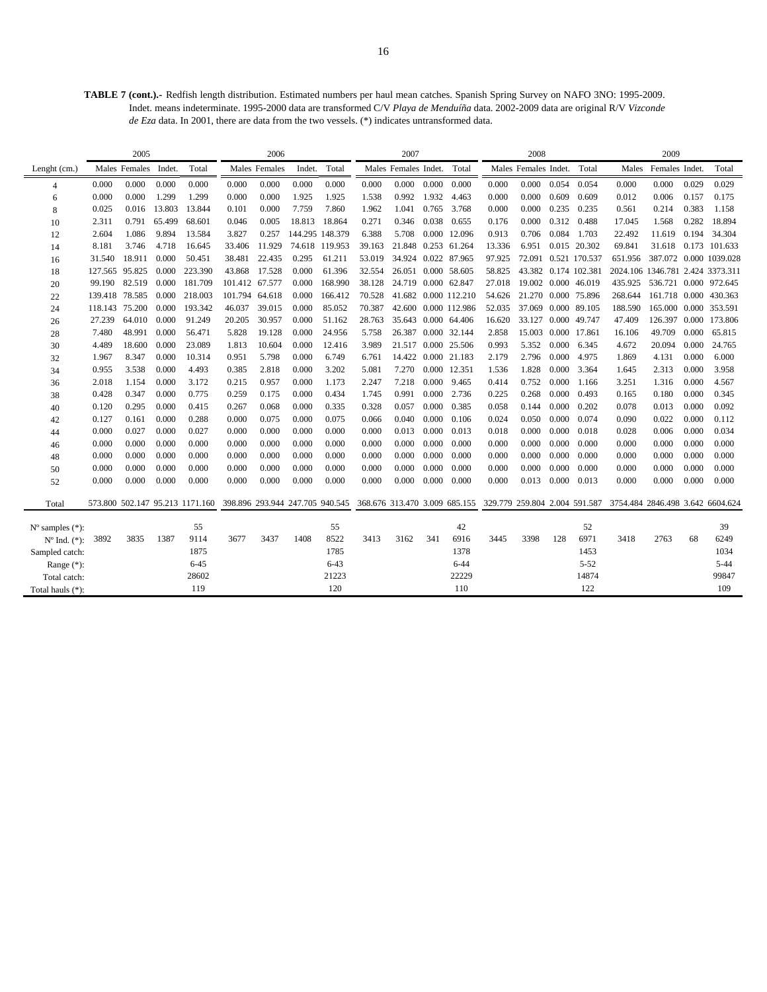**TABLE 7 (cont.).-** Redfish length distribution. Estimated numbers per haul mean catches. Spanish Spring Survey on NAFO 3NO: 1995-2009. Indet. means indeterminate. 1995-2000 data are transformed C/V *Playa de Menduíña* data. 2002-2009 data are original R/V *Vizconde de Eza* data. In 2001, there are data from the two vessels. (\*) indicates untransformed data.

|                             |                | 2005                 |        |                                 |                                 | 2006          |                 |                |                               | 2007                 |       |                      |                               | 2008                    |       |               |                                  | 2009                  |       |                        |
|-----------------------------|----------------|----------------------|--------|---------------------------------|---------------------------------|---------------|-----------------|----------------|-------------------------------|----------------------|-------|----------------------|-------------------------------|-------------------------|-------|---------------|----------------------------------|-----------------------|-------|------------------------|
| Lenght (cm.)                |                | Males Females Indet. |        | Total                           |                                 | Males Females | Indet.          | Total          |                               | Males Females Indet. |       | Total                |                               | Males Females Indet.    |       | Total         | Males                            | Females Indet.        |       | Total                  |
| 4                           | 0.000          | 0.000                | 0.000  | 0.000                           | 0.000                           | 0.000         | 0.000           | 0.000          | 0.000                         | 0.000                | 0.000 | 0.000                | 0.000                         | 0.000                   | 0.054 | 0.054         | 0.000                            | 0.000                 | 0.029 | 0.029                  |
| 6                           | 0.000          | 0.000                | 1.299  | 1.299                           | 0.000                           | 0.000         | 1.925           | 1.925          | 1.538                         | 0.992                | 1.932 | 4.463                | 0.000                         | 0.000                   | 0.609 | 0.609         | 0.012                            | 0.006                 | 0.157 | 0.175                  |
| 8                           | 0.025          | 0.016                | 13.803 | 13.844                          | 0.101                           | 0.000         | 7.759           | 7.860          | 1.962                         | 1.041                | 0.765 | 3.768                | 0.000                         | 0.000                   | 0.235 | 0.235         | 0.561                            | 0.214                 | 0.383 | 1.158                  |
| 10                          | 2.311          | 0.791                | 65.499 | 68.601                          | 0.046                           | 0.005         | 18.813          | 18.864         | 0.271                         | 0.346                | 0.038 | 0.655                | 0.176                         | 0.000                   |       | 0.312 0.488   | 17.045                           | 1.568                 | 0.282 | 18.894                 |
| 12                          | 2.604          | 1.086                | 9.894  | 13.584                          | 3.827                           | 0.257         | 144.295 148.379 |                | 6.388                         | 5.708                |       | 0.000 12.096         | 0.913                         | 0.706                   |       | 0.084 1.703   | 22.492                           | 11.619                | 0.194 | 34.304                 |
| 14                          | 8.181          | 3.746                | 4.718  | 16.645                          | 33.406                          | 11.929        |                 | 74.618 119.953 | 39.163                        | 21.848 0.253 61.264  |       |                      | 13.336                        | 6.951                   |       | 0.015 20.302  | 69.841                           |                       |       | 31.618 0.173 101.633   |
| 16                          | 31.540         | 18.911               | 0.000  | 50.451                          | 38.481                          | 22.435        | 0.295           | 61.211         | 53.019                        | 34.924 0.022 87.965  |       |                      | 97.925                        | 72.091                  |       | 0.521 170.537 | 651.956                          |                       |       | 387.072 0.000 1039.028 |
| 18                          | 127.565 95.825 |                      | 0.000  | 223.390                         | 43.868                          | 17.528        | 0.000           | 61.396         | 32.554                        | 26.051 0.000 58.605  |       |                      | 58.825                        | 43.382 0.174 102.381    |       |               | 2024.106 1346.781 2.424 3373.311 |                       |       |                        |
| 20                          | 99.190         | 82.519               | 0.000  | 181.709                         | 101.412 67.577                  |               | 0.000           | 168.990        | 38.128                        | 24.719 0.000 62.847  |       |                      | 27.018                        | 19.002 0.000 46.019     |       |               | 435.925                          | 536.721 0.000 972.645 |       |                        |
| 22                          | 139.418 78.585 |                      | 0.000  | 218.003                         | 101.794                         | 64.618        | 0.000           | 166.412        | 70.528                        |                      |       | 41.682 0.000 112.210 | 54.626                        | 21.270 0.000 75.896     |       |               | 268.644                          | 161.718 0.000 430.363 |       |                        |
| 24                          | 118.143        | 75.200               | 0.000  | 193.342                         | 46.037                          | 39.015        | 0.000           | 85.052         | 70.387                        |                      |       | 42.600 0.000 112.986 | 52.035                        | 37.069 0.000 89.105     |       |               | 188.590                          | 165.000 0.000 353.591 |       |                        |
| 26                          | 27.239         | 64.010               | 0.000  | 91.249                          | 20.205                          | 30.957        | 0.000           | 51.162         | 28.763                        |                      |       | 35.643 0.000 64.406  | 16.620                        | 33.127                  |       | 0.000 49.747  | 47.409                           |                       |       | 126.397 0.000 173.806  |
| 28                          | 7.480          | 48.991               | 0.000  | 56.471                          | 5.828                           | 19.128        | 0.000           | 24.956         | 5.758                         | 26.387 0.000 32.144  |       |                      | 2.858                         | 15.003                  | 0.000 | 17.861        | 16.106                           | 49.709                | 0.000 | 65.815                 |
| 30                          | 4.489          | 18.600               | 0.000  | 23.089                          | 1.813                           | 10.604        | 0.000           | 12.416         | 3.989                         | 21.517 0.000         |       | 25.506               | 0.993                         | 5.352                   | 0.000 | 6.345         | 4.672                            | 20.094                | 0.000 | 24.765                 |
| 32                          | 1.967          | 8.347                | 0.000  | 10.314                          | 0.951                           | 5.798         | 0.000           | 6.749          | 6.761                         | 14.422 0.000 21.183  |       |                      | 2.179                         | 2.796                   | 0.000 | 4.975         | 1.869                            | 4.131                 | 0.000 | 6.000                  |
| 34                          | 0.955          | 3.538                | 0.000  | 4.493                           | 0.385                           | 2.818         | 0.000           | 3.202          | 5.081                         | 7.270                |       | 0.000 12.351         | 1.536                         | 1.828                   | 0.000 | 3.364         | 1.645                            | 2.313                 | 0.000 | 3.958                  |
| 36                          | 2.018          | 1.154                | 0.000  | 3.172                           | 0.215                           | 0.957         | 0.000           | 1.173          | 2.247                         | 7.218                | 0.000 | 9.465                | 0.414                         | 0.752                   | 0.000 | 1.166         | 3.251                            | 1.316                 | 0.000 | 4.567                  |
| 38                          | 0.428          | 0.347                | 0.000  | 0.775                           | 0.259                           | 0.175         | 0.000           | 0.434          | 1.745                         | 0.991                | 0.000 | 2.736                | 0.225                         | 0.268                   | 0.000 | 0.493         | 0.165                            | 0.180                 | 0.000 | 0.345                  |
| 40                          | 0.120          | 0.295                | 0.000  | 0.415                           | 0.267                           | 0.068         | 0.000           | 0.335          | 0.328                         | 0.057                | 0.000 | 0.385                | 0.058                         | 0.144                   | 0.000 | 0.202         | 0.078                            | 0.013                 | 0.000 | 0.092                  |
| 42                          | 0.127          | 0.161                | 0.000  | 0.288                           | 0.000                           | 0.075         | 0.000           | 0.075          | 0.066                         | 0.040                | 0.000 | 0.106                | 0.024                         | 0.050                   | 0.000 | 0.074         | 0.090                            | 0.022                 | 0.000 | 0.112                  |
| 44                          | 0.000          | 0.027                | 0.000  | 0.027                           | 0.000                           | 0.000         | 0.000           | 0.000          | 0.000                         | 0.013                | 0.000 | 0.013                | 0.018                         | 0.000                   | 0.000 | 0.018         | 0.028                            | 0.006                 | 0.000 | 0.034                  |
| 46                          | 0.000          | 0.000                | 0.000  | 0.000                           | 0.000                           | 0.000         | 0.000           | 0.000          | 0.000                         | 0.000                | 0.000 | 0.000                | 0.000                         | 0.000                   | 0.000 | 0.000         | 0.000                            | 0.000                 | 0.000 | 0.000                  |
| 48                          | 0.000          | 0.000                | 0.000  | 0.000                           | 0.000                           | 0.000         | 0.000           | 0.000          | 0.000                         | 0.000                | 0.000 | 0.000                | 0.000                         | 0.000                   | 0.000 | 0.000         | 0.000                            | 0.000                 | 0.000 | 0.000                  |
| 50                          | 0.000          | 0.000                | 0.000  | 0.000                           | 0.000                           | 0.000         | 0.000           | 0.000          | 0.000                         | 0.000                | 0.000 | 0.000                | 0.000                         | 0.000                   | 0.000 | 0.000         | 0.000                            | 0.000                 | 0.000 | 0.000                  |
| 52                          | 0.000          | 0.000                | 0.000  | 0.000                           | 0.000                           | 0.000         | 0.000           | 0.000          | 0.000                         | $0.000 \quad 0.000$  |       | 0.000                | 0.000                         | $0.013$ $0.000$ $0.013$ |       |               | 0.000                            | 0.000                 | 0.000 | 0.000                  |
| Total                       |                |                      |        | 573.800 502.147 95.213 1171.160 | 398.896 293.944 247.705 940.545 |               |                 |                | 368.676 313.470 3.009 685.155 |                      |       |                      | 329.779 259.804 2.004 591.587 |                         |       |               | 3754.484 2846.498 3.642 6604.624 |                       |       |                        |
| $N^{\circ}$ samples $(*)$ : |                |                      |        | 55                              |                                 |               |                 | 55             |                               |                      |       | 42                   |                               |                         |       | 52            |                                  |                       |       | 39                     |
| $N^{\circ}$ Ind. $(*)$ :    | 3892           | 3835                 | 1387   | 9114                            | 3677                            | 3437          | 1408            | 8522           | 3413                          | 3162                 | 341   | 6916                 | 3445                          | 3398                    | 128   | 6971          | 3418                             | 2763                  | 68    | 6249                   |
| Sampled catch:              |                |                      |        | 1875                            |                                 |               |                 | 1785           |                               |                      |       | 1378                 |                               |                         |       | 1453          |                                  |                       |       | 1034                   |
| Range $(*)$ :               |                |                      |        | $6 - 45$                        |                                 |               |                 | $6 - 43$       |                               |                      |       | $6 - 44$             |                               |                         |       | $5 - 52$      |                                  |                       |       | $5 - 44$               |
| Total catch:                |                |                      |        | 28602                           |                                 |               |                 | 21223          |                               |                      |       | 22229                |                               |                         |       | 14874         |                                  |                       |       | 99847                  |
| Total hauls (*):            |                |                      |        | 119                             |                                 |               |                 | 120            |                               |                      |       | 110                  |                               |                         |       | 122           |                                  |                       |       | 109                    |
|                             |                |                      |        |                                 |                                 |               |                 |                |                               |                      |       |                      |                               |                         |       |               |                                  |                       |       |                        |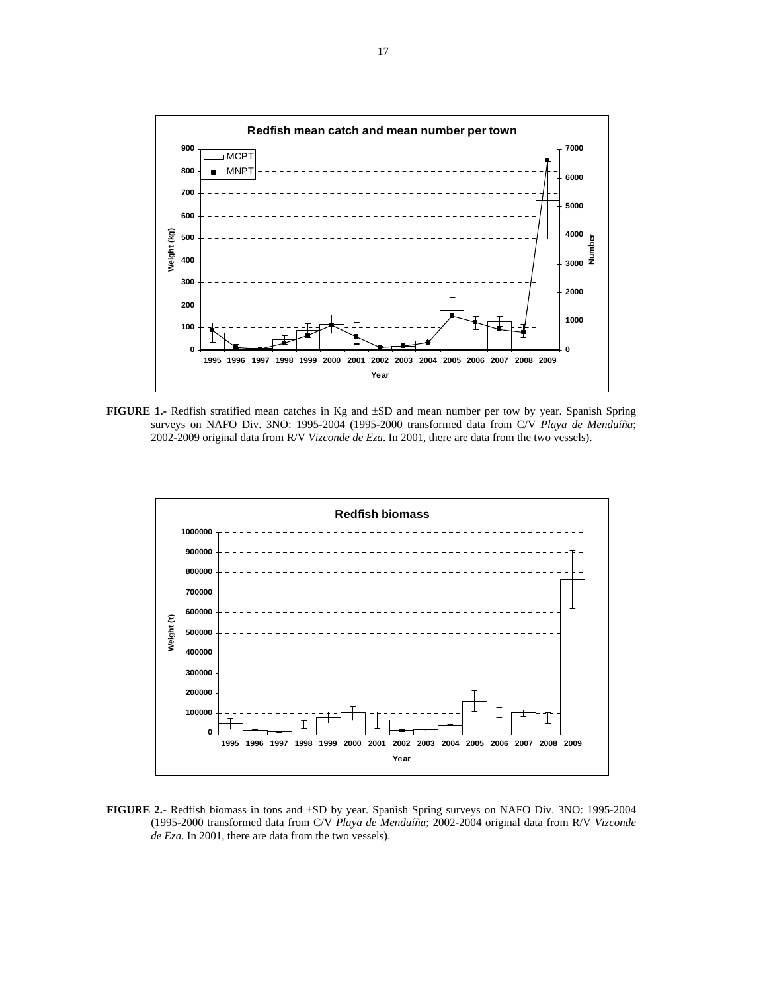

**FIGURE 1.-** Redfish stratified mean catches in Kg and ±SD and mean number per tow by year. Spanish Spring surveys on NAFO Div. 3NO: 1995-2004 (1995-2000 transformed data from C/V *Playa de Menduíña*; 2002-2009 original data from R/V *Vizconde de Eza*. In 2001, there are data from the two vessels).



**FIGURE 2.-** Redfish biomass in tons and ±SD by year. Spanish Spring surveys on NAFO Div. 3NO: 1995-2004 (1995-2000 transformed data from C/V *Playa de Menduíña*; 2002-2004 original data from R/V *Vizconde de Eza*. In 2001, there are data from the two vessels).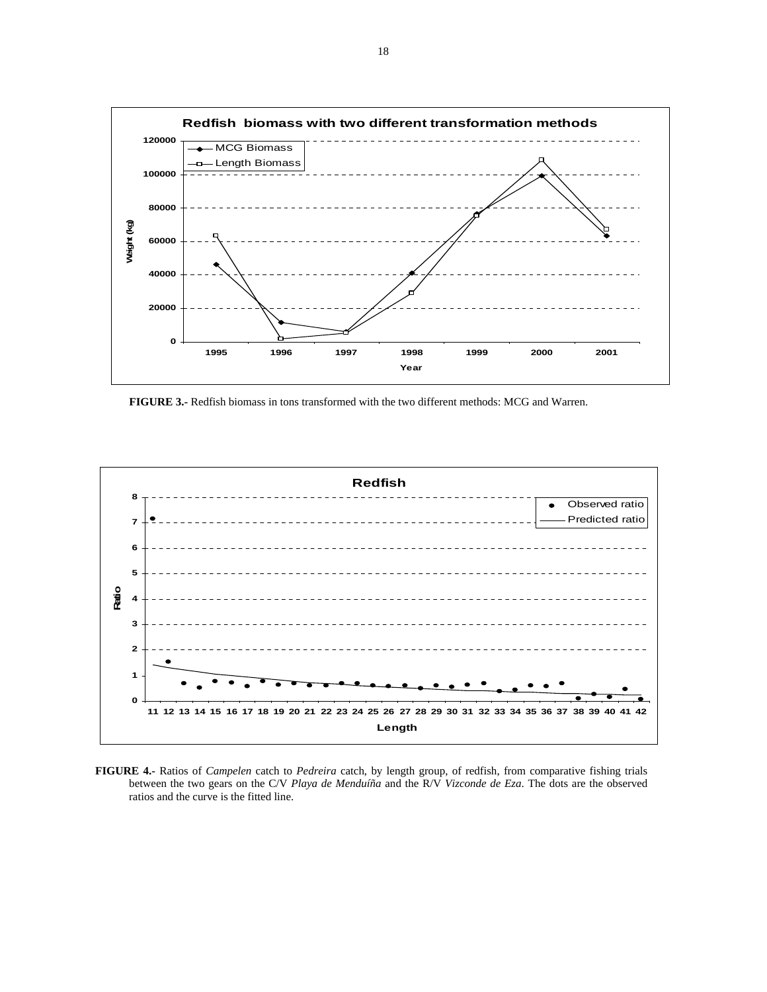

 **FIGURE 3.-** Redfish biomass in tons transformed with the two different methods: MCG and Warren.



**FIGURE 4.-** Ratios of *Campelen* catch to *Pedreira* catch, by length group, of redfish, from comparative fishing trials between the two gears on the C/V *Playa de Menduíña* and the R/V *Vizconde de Eza*. The dots are the observed ratios and the curve is the fitted line.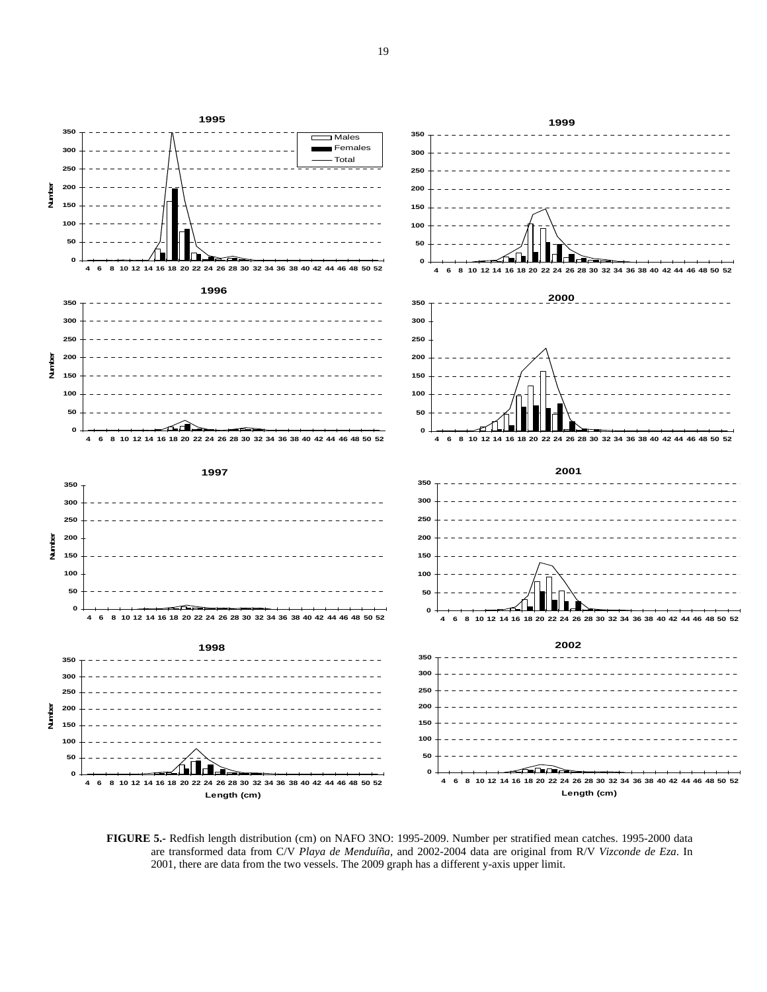

**FIGURE 5.-** Redfish length distribution (cm) on NAFO 3NO: 1995-2009. Number per stratified mean catches. 1995-2000 data are transformed data from C/V *Playa de Menduíña*, and 2002-2004 data are original from R/V *Vizconde de Eza*. In 2001, there are data from the two vessels. The 2009 graph has a different y-axis upper limit.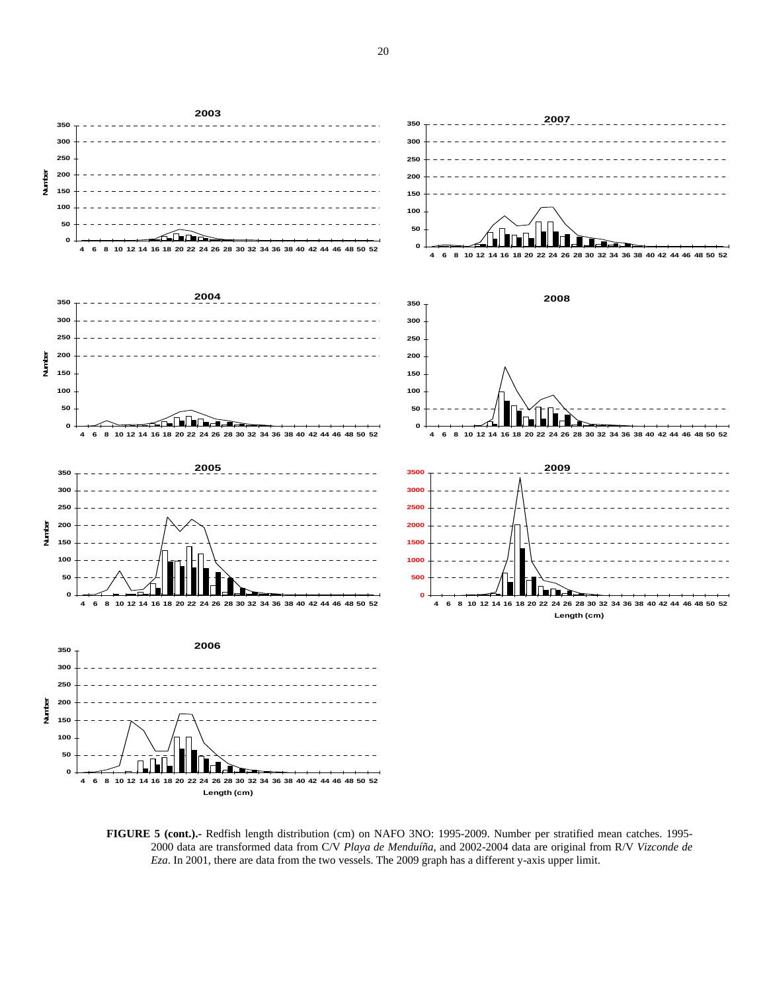

**FIGURE 5 (cont.).-** Redfish length distribution (cm) on NAFO 3NO: 1995-2009. Number per stratified mean catches. 1995- 2000 data are transformed data from C/V *Playa de Menduíña*, and 2002-2004 data are original from R/V *Vizconde de Eza*. In 2001, there are data from the two vessels. The 2009 graph has a different y-axis upper limit.